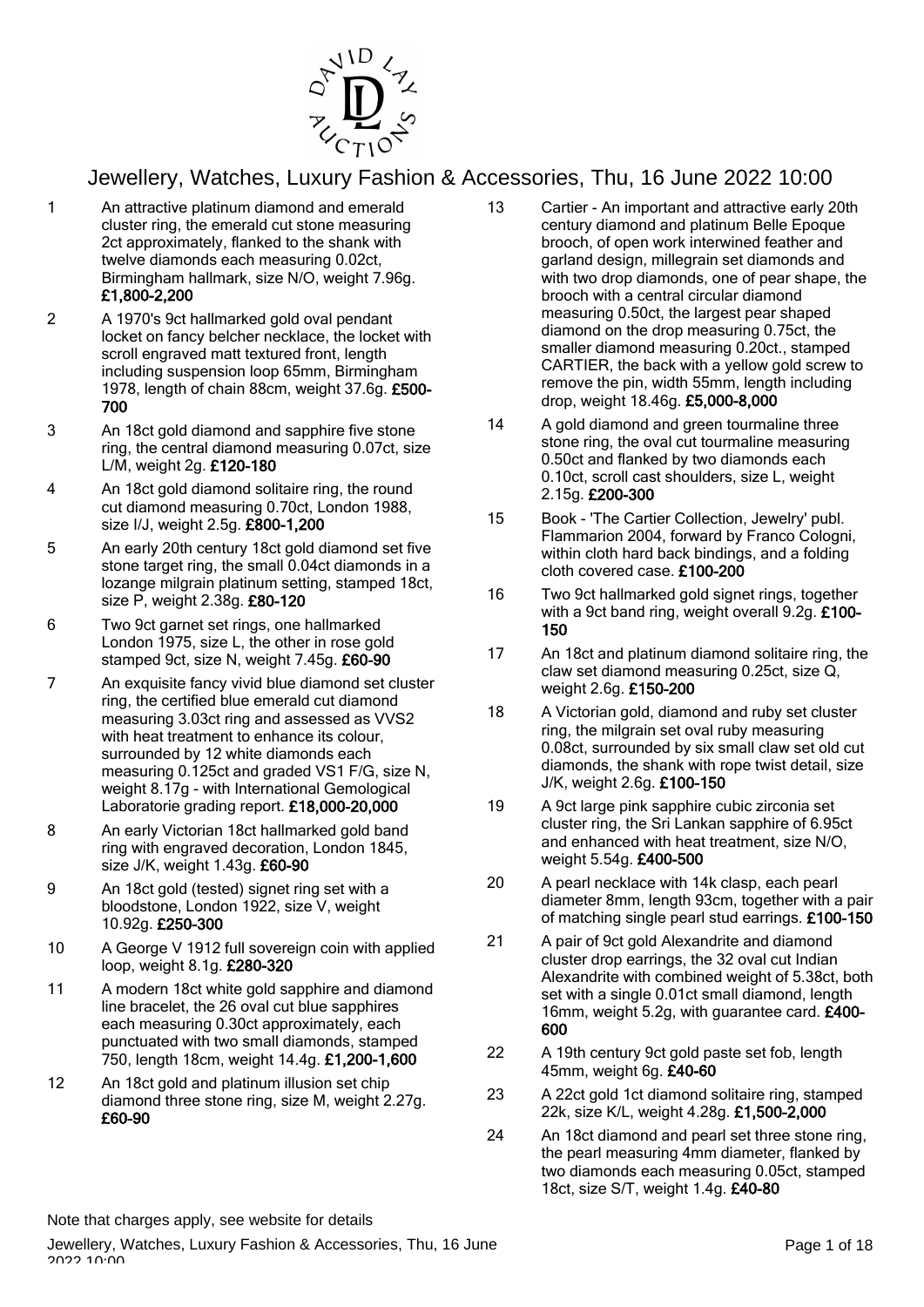

- 1 An attractive platinum diamond and emerald cluster ring, the emerald cut stone measuring 2ct approximately, flanked to the shank with twelve diamonds each measuring 0.02ct, Birmingham hallmark, size N/O, weight 7.96g. £1,800-2,200
- 2 A 1970's 9ct hallmarked gold oval pendant locket on fancy belcher necklace, the locket with scroll engraved matt textured front, length including suspension loop 65mm, Birmingham 1978, length of chain 88cm, weight 37.6g. £500- 700
- 3 An 18ct gold diamond and sapphire five stone ring, the central diamond measuring 0.07ct, size L/M, weight 2g. £120-180
- 4 An 18ct gold diamond solitaire ring, the round cut diamond measuring 0.70ct, London 1988, size I/J, weight 2.5g. £800-1,200
- 5 An early 20th century 18ct gold diamond set five stone target ring, the small 0.04ct diamonds in a lozange milgrain platinum setting, stamped 18ct, size P, weight 2.38g. £80-120
- 6 Two 9ct garnet set rings, one hallmarked London 1975, size L, the other in rose gold stamped 9ct, size N, weight 7.45g. £60-90
- 7 An exquisite fancy vivid blue diamond set cluster ring, the certified blue emerald cut diamond measuring 3.03ct ring and assessed as VVS2 with heat treatment to enhance its colour. surrounded by 12 white diamonds each measuring 0.125ct and graded VS1 F/G, size N, weight 8.17g - with International Gemological Laboratorie grading report. £18,000-20,000
- 8 An early Victorian 18ct hallmarked gold band ring with engraved decoration, London 1845, size J/K, weight 1.43g. £60-90
- 9 An 18ct gold (tested) signet ring set with a bloodstone, London 1922, size V, weight 10.92g. £250-300
- 10 A George V 1912 full sovereign coin with applied loop, weight 8.1g. £280-320
- 11 A modern 18ct white gold sapphire and diamond line bracelet, the 26 oval cut blue sapphires each measuring 0.30ct approximately, each punctuated with two small diamonds, stamped 750, length 18cm, weight 14.4g. £1,200-1,600
- 12 An 18ct gold and platinum illusion set chip diamond three stone ring, size M, weight 2.27g. £60-90
- 13 Cartier An important and attractive early 20th century diamond and platinum Belle Epoque brooch, of open work interwined feather and garland design, millegrain set diamonds and with two drop diamonds, one of pear shape, the brooch with a central circular diamond measuring 0.50ct, the largest pear shaped diamond on the drop measuring 0.75ct, the smaller diamond measuring 0.20ct., stamped CARTIER, the back with a yellow gold screw to remove the pin, width 55mm, length including drop, weight 18.46g. £5,000-8,000
- 14 A gold diamond and green tourmaline three stone ring, the oval cut tourmaline measuring 0.50ct and flanked by two diamonds each 0.10ct, scroll cast shoulders, size L, weight 2.15g. £200-300
- 15 Book 'The Cartier Collection, Jewelry' publ. Flammarion 2004, forward by Franco Cologni, within cloth hard back bindings, and a folding cloth covered case. £100-200
- 16 Two 9ct hallmarked gold signet rings, together with a 9ct band ring, weight overall 9.2g. £100-150
- 17 An 18ct and platinum diamond solitaire ring, the claw set diamond measuring 0.25ct, size Q, weight 2.6g. £150-200
- 18 A Victorian gold, diamond and ruby set cluster ring, the milgrain set oval ruby measuring 0.08ct, surrounded by six small claw set old cut diamonds, the shank with rope twist detail, size J/K, weight 2.6g. £100-150
- 19 A 9ct large pink sapphire cubic zirconia set cluster ring, the Sri Lankan sapphire of 6.95ct and enhanced with heat treatment, size N/O, weight 5.54g. £400-500
- 20 A pearl necklace with 14k clasp, each pearl diameter 8mm, length 93cm, together with a pair of matching single pearl stud earrings. £100-150
- 21 A pair of 9ct gold Alexandrite and diamond cluster drop earrings, the 32 oval cut Indian Alexandrite with combined weight of 5.38ct, both set with a single 0.01ct small diamond, length 16mm, weight 5.2g, with guarantee card. £400- 600
- 22 A 19th century 9ct gold paste set fob, length 45mm, weight 6g. £40-60
- 23 A 22ct gold 1ct diamond solitaire ring, stamped 22k, size K/L, weight 4.28g. £1,500-2,000
- 24 An 18ct diamond and pearl set three stone ring, the pearl measuring 4mm diameter, flanked by two diamonds each measuring 0.05ct, stamped 18ct, size S/T, weight 1.4g. £40-80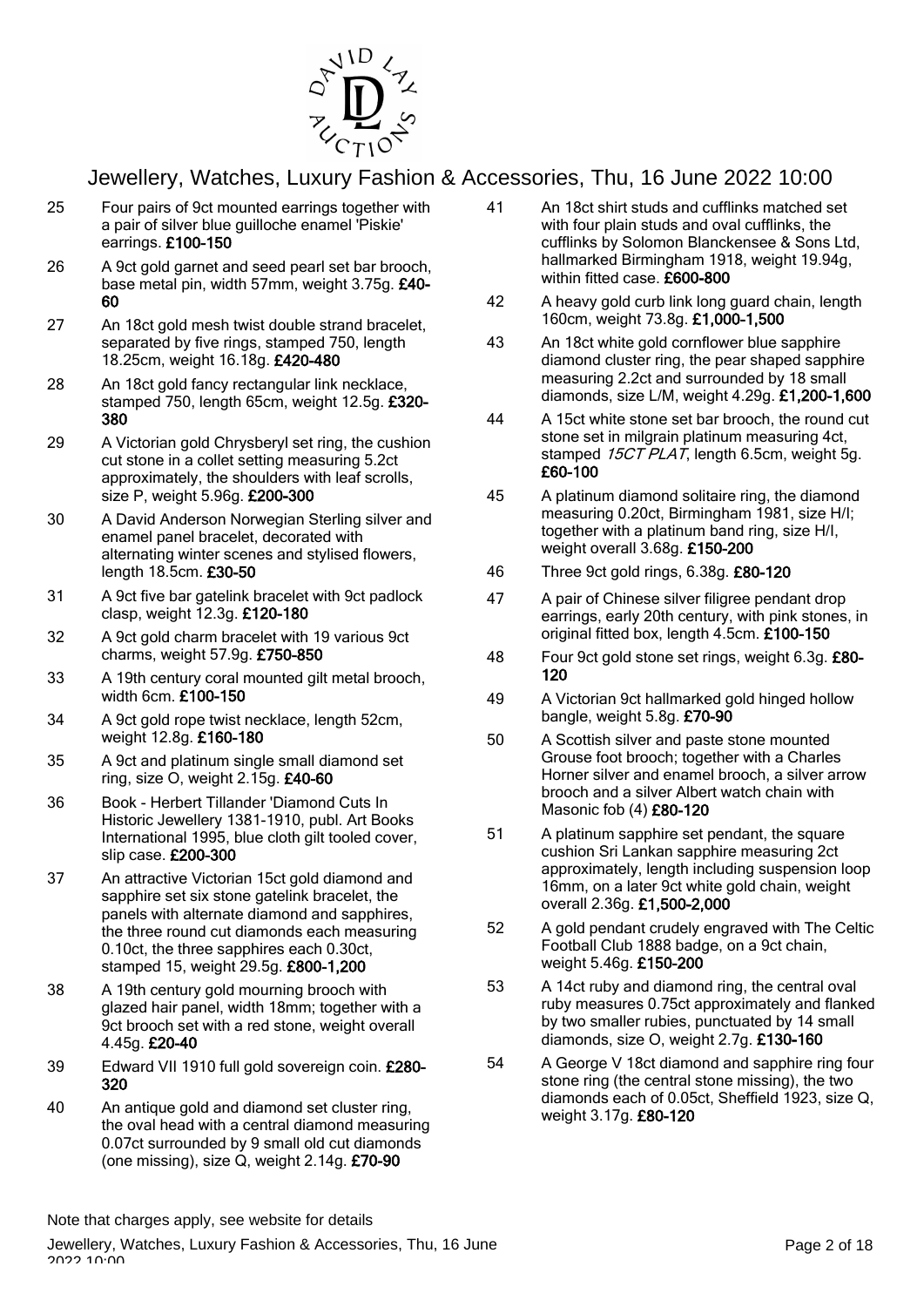

- 25 Four pairs of 9ct mounted earrings together with a pair of silver blue guilloche enamel 'Piskie' earrings. £100-150
- 26 A 9ct gold garnet and seed pearl set bar brooch, base metal pin, width 57mm, weight 3.75g. £40- 60
- 27 An 18ct gold mesh twist double strand bracelet, separated by five rings, stamped 750, length 18.25cm, weight 16.18g. £420-480
- 28 An 18ct gold fancy rectangular link necklace, stamped 750, length 65cm, weight 12.5g. £320- 380
- 29 A Victorian gold Chrysberyl set ring, the cushion cut stone in a collet setting measuring 5.2ct approximately, the shoulders with leaf scrolls, size P, weight 5.96g. £200-300
- 30 A David Anderson Norwegian Sterling silver and enamel panel bracelet, decorated with alternating winter scenes and stylised flowers, length 18.5cm. £30-50
- 31 A 9ct five bar gatelink bracelet with 9ct padlock clasp, weight 12.3g. £120-180
- 32 A 9ct gold charm bracelet with 19 various 9ct charms, weight 57.9g. £750-850
- 33 A 19th century coral mounted gilt metal brooch, width 6cm. £100-150
- 34 A 9ct gold rope twist necklace, length 52cm, weight 12.8g. £160-180
- 35 A 9ct and platinum single small diamond set ring, size O, weight 2.15g. £40-60
- 36 Book Herbert Tillander 'Diamond Cuts In Historic Jewellery 1381-1910, publ. Art Books International 1995, blue cloth gilt tooled cover, slip case. £200-300
- 37 An attractive Victorian 15ct gold diamond and sapphire set six stone gatelink bracelet, the panels with alternate diamond and sapphires, the three round cut diamonds each measuring 0.10ct, the three sapphires each 0.30ct, stamped 15, weight 29.5g. £800-1,200
- 38 A 19th century gold mourning brooch with glazed hair panel, width 18mm; together with a 9ct brooch set with a red stone, weight overall 4.45g. £20-40
- 39 Edward VII 1910 full gold sovereign coin. £280- 320
- 40 An antique gold and diamond set cluster ring, the oval head with a central diamond measuring 0.07ct surrounded by 9 small old cut diamonds (one missing), size  $\dot{Q}$ , weight 2.14g. £70-90
- 41 An 18ct shirt studs and cufflinks matched set with four plain studs and oval cufflinks, the cufflinks by Solomon Blanckensee & Sons Ltd, hallmarked Birmingham 1918, weight 19.94g, within fitted case. £600-800
- 42 A heavy gold curb link long guard chain, length 160cm, weight 73.8g. £1,000-1,500
- 43 An 18ct white gold cornflower blue sapphire diamond cluster ring, the pear shaped sapphire measuring 2.2ct and surrounded by 18 small diamonds, size L/M, weight 4.29g. £1,200-1,600
- 44 A 15ct white stone set bar brooch, the round cut stone set in milgrain platinum measuring 4ct, stamped 15CT PLAT, length 6.5cm, weight 5g. £60-100
- 45 A platinum diamond solitaire ring, the diamond measuring 0.20ct, Birmingham 1981, size H/I; together with a platinum band ring, size H/I, weight overall 3.68g. £150-200
- 46 Three 9ct gold rings, 6.38g. £80-120
- 47 A pair of Chinese silver filigree pendant drop earrings, early 20th century, with pink stones, in original fitted box, length 4.5cm. £100-150
- 48 Four 9ct gold stone set rings, weight 6.3g. £80- 120
- 49 A Victorian 9ct hallmarked gold hinged hollow bangle, weight 5.8g. £70-90
- 50 A Scottish silver and paste stone mounted Grouse foot brooch; together with a Charles Horner silver and enamel brooch, a silver arrow brooch and a silver Albert watch chain with Masonic fob (4) £80-120
- 51 A platinum sapphire set pendant, the square cushion Sri Lankan sapphire measuring 2ct approximately, length including suspension loop 16mm, on a later 9ct white gold chain, weight overall 2.36g. £1,500-2,000
- 52 A gold pendant crudely engraved with The Celtic Football Club 1888 badge, on a 9ct chain, weight 5.46g. £150-200
- 53 A 14ct ruby and diamond ring, the central oval ruby measures 0.75ct approximately and flanked by two smaller rubies, punctuated by 14 small diamonds, size O, weight 2.7g. £130-160
- 54 A George V 18ct diamond and sapphire ring four stone ring (the central stone missing), the two diamonds each of 0.05ct, Sheffield 1923, size Q, weight 3.17g. £80-120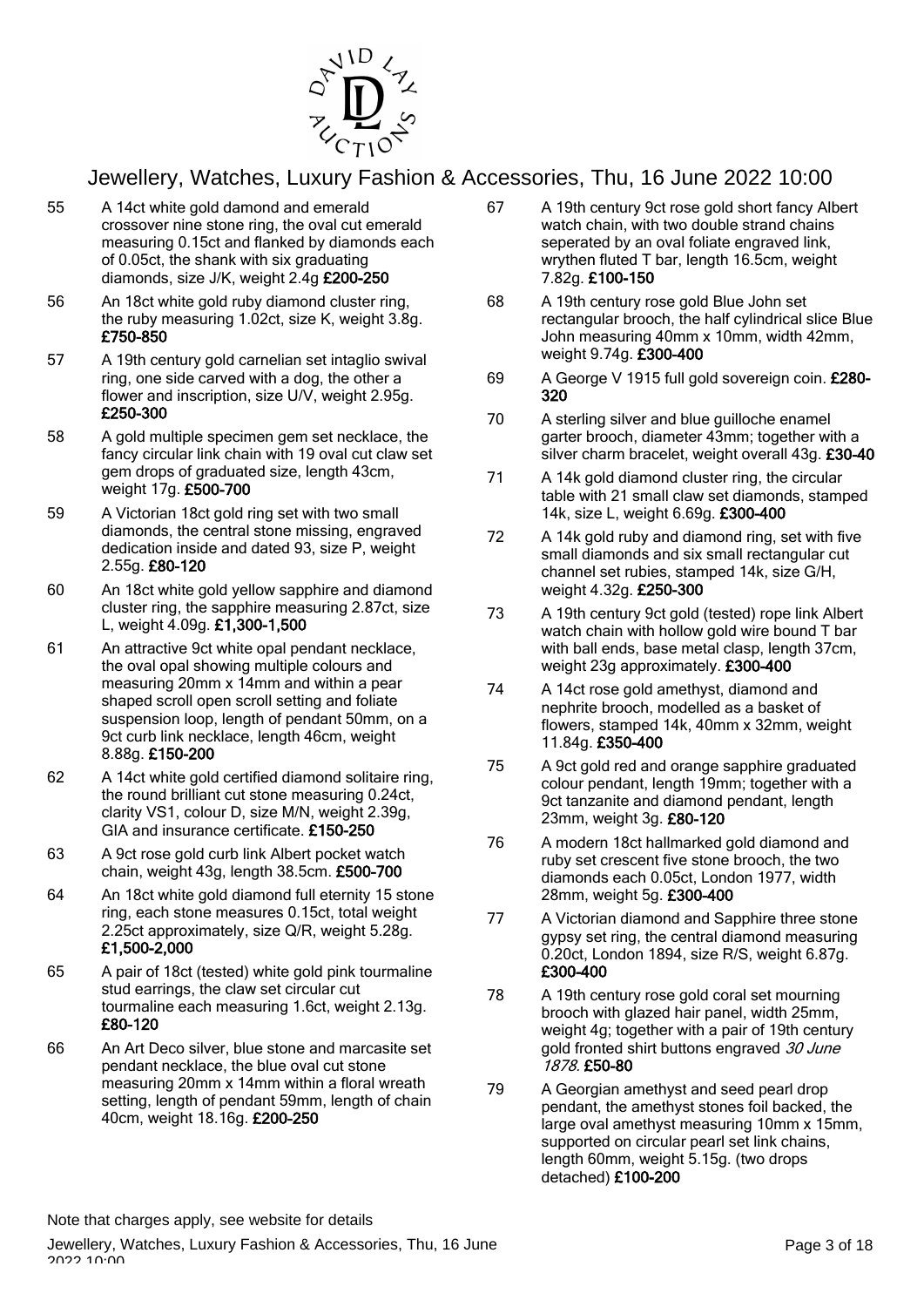

- 55 A 14ct white gold damond and emerald crossover nine stone ring, the oval cut emerald measuring 0.15ct and flanked by diamonds each of 0.05ct, the shank with six graduating diamonds, size J/K, weight 2.4g £200-250
- 56 An 18ct white gold ruby diamond cluster ring, the ruby measuring 1.02ct, size K, weight 3.8g. £750-850
- 57 A 19th century gold carnelian set intaglio swival ring, one side carved with a dog, the other a flower and inscription, size U/V, weight 2.95g. £250-300
- 58 A gold multiple specimen gem set necklace, the fancy circular link chain with 19 oval cut claw set gem drops of graduated size, length 43cm, weight 17g. £500-700
- 59 A Victorian 18ct gold ring set with two small diamonds, the central stone missing, engraved dedication inside and dated 93, size P, weight 2.55g. £80-120
- 60 An 18ct white gold yellow sapphire and diamond cluster ring, the sapphire measuring 2.87ct, size L, weight 4.09g. £1,300-1,500
- 61 An attractive 9ct white opal pendant necklace, the oval opal showing multiple colours and measuring 20mm x 14mm and within a pear shaped scroll open scroll setting and foliate suspension loop, length of pendant 50mm, on a 9ct curb link necklace, length 46cm, weight 8.88g. £150-200
- 62 A 14ct white gold certified diamond solitaire ring, the round brilliant cut stone measuring 0.24ct, clarity VS1, colour D, size M/N, weight 2.39g, GIA and insurance certificate. £150-250
- 63 A 9ct rose gold curb link Albert pocket watch chain, weight 43g, length 38.5cm. £500-700
- 64 An 18ct white gold diamond full eternity 15 stone ring, each stone measures 0.15ct, total weight 2.25ct approximately, size Q/R, weight 5.28g. £1,500-2,000
- 65 A pair of 18ct (tested) white gold pink tourmaline stud earrings, the claw set circular cut tourmaline each measuring 1.6ct, weight 2.13g. £80-120
- 66 An Art Deco silver, blue stone and marcasite set pendant necklace, the blue oval cut stone measuring 20mm x 14mm within a floral wreath setting, length of pendant 59mm, length of chain 40cm, weight 18.16g. £200-250
- 67 A 19th century 9ct rose gold short fancy Albert watch chain, with two double strand chains seperated by an oval foliate engraved link, wrythen fluted T bar, length 16.5cm, weight 7.82g. £100-150
- 68 A 19th century rose gold Blue John set rectangular brooch, the half cylindrical slice Blue John measuring 40mm x 10mm, width 42mm, weight 9.74g. £300-400
- 69 A George V 1915 full gold sovereign coin. £280- 320
- 70 A sterling silver and blue guilloche enamel garter brooch, diameter 43mm; together with a silver charm bracelet, weight overall 43g. £30-40
- 71 A 14k gold diamond cluster ring, the circular table with 21 small claw set diamonds, stamped 14k, size L, weight 6.69g. £300-400
- 72 A 14k gold ruby and diamond ring, set with five small diamonds and six small rectangular cut channel set rubies, stamped 14k, size G/H, weight 4.32g. £250-300
- 73 A 19th century 9ct gold (tested) rope link Albert watch chain with hollow gold wire bound T bar with ball ends, base metal clasp, length 37cm, weight 23g approximately. £300-400
- 74 A 14ct rose gold amethyst, diamond and nephrite brooch, modelled as a basket of flowers, stamped 14k, 40mm x 32mm, weight 11.84g. £350-400
- 75 A 9ct gold red and orange sapphire graduated colour pendant, length 19mm; together with a 9ct tanzanite and diamond pendant, length 23mm, weight 3g. £80-120
- 76 A modern 18ct hallmarked gold diamond and ruby set crescent five stone brooch, the two diamonds each 0.05ct, London 1977, width 28mm, weight 5g. £300-400
- 77 A Victorian diamond and Sapphire three stone gypsy set ring, the central diamond measuring 0.20ct, London 1894, size R/S, weight 6.87g. £300-400
- 78 A 19th century rose gold coral set mourning brooch with glazed hair panel, width 25mm, weight 4g; together with a pair of 19th century gold fronted shirt buttons engraved 30 June 1878. £50-80
- 79 A Georgian amethyst and seed pearl drop pendant, the amethyst stones foil backed, the large oval amethyst measuring 10mm x 15mm, supported on circular pearl set link chains, length 60mm, weight 5.15g. (two drops detached) £100-200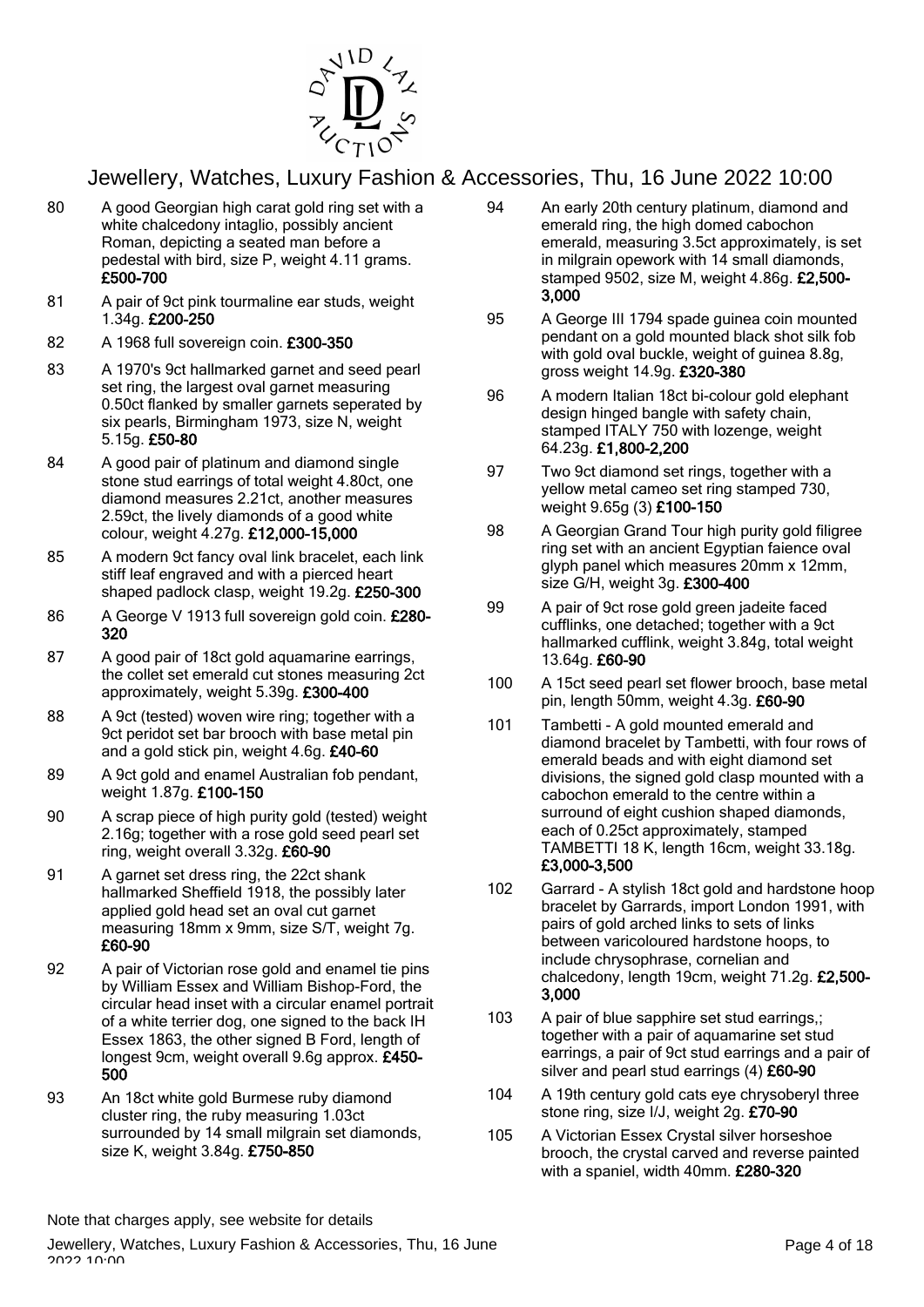

- 80 A good Georgian high carat gold ring set with a white chalcedony intaglio, possibly ancient Roman, depicting a seated man before a pedestal with bird, size P, weight 4.11 grams. £500-700
- 81 A pair of 9ct pink tourmaline ear studs, weight 1.34g. £200-250
- 82 A 1968 full sovereign coin. £300-350
- 83 A 1970's 9ct hallmarked garnet and seed pearl set ring, the largest oval garnet measuring 0.50ct flanked by smaller garnets seperated by six pearls, Birmingham 1973, size N, weight 5.15g. £50-80
- 84 A good pair of platinum and diamond single stone stud earrings of total weight 4.80ct, one diamond measures 2.21ct, another measures 2.59ct, the lively diamonds of a good white colour, weight 4.27g. £12,000-15,000
- 85 A modern 9ct fancy oval link bracelet, each link stiff leaf engraved and with a pierced heart shaped padlock clasp, weight 19.2g. £250-300
- 86 A George V 1913 full sovereign gold coin. £280-320
- 87 A good pair of 18ct gold aquamarine earrings, the collet set emerald cut stones measuring 2ct approximately, weight 5.39g. £300-400
- 88 A 9ct (tested) woven wire ring; together with a 9ct peridot set bar brooch with base metal pin and a gold stick pin, weight 4.6g. £40-60
- 89 A 9ct gold and enamel Australian fob pendant, weight 1.87g. £100-150
- 90 A scrap piece of high purity gold (tested) weight 2.16g; together with a rose gold seed pearl set ring, weight overall 3.32g. £60-90
- 91 A garnet set dress ring, the 22ct shank hallmarked Sheffield 1918, the possibly later applied gold head set an oval cut garnet measuring 18mm x 9mm, size S/T, weight 7g. £60-90
- 92 A pair of Victorian rose gold and enamel tie pins by William Essex and William Bishop-Ford, the circular head inset with a circular enamel portrait of a white terrier dog, one signed to the back IH Essex 1863, the other signed B Ford, length of longest 9cm, weight overall 9.6g approx. £450- 500
- 93 An 18ct white gold Burmese ruby diamond cluster ring, the ruby measuring 1.03ct surrounded by 14 small milgrain set diamonds. size K, weight 3.84g. £750-850
- 94 An early 20th century platinum, diamond and emerald ring, the high domed cabochon emerald, measuring 3.5ct approximately, is set in milgrain opework with 14 small diamonds, stamped 9502, size M, weight 4.86g. £2,500- 3,000
- 95 A George III 1794 spade guinea coin mounted pendant on a gold mounted black shot silk fob with gold oval buckle, weight of guinea 8.8g, gross weight 14.9g. £320-380
- 96 A modern Italian 18ct bi-colour gold elephant design hinged bangle with safety chain, stamped ITALY 750 with lozenge, weight 64.23g. £1,800-2,200
- 97 Two 9ct diamond set rings, together with a yellow metal cameo set ring stamped 730, weight 9.65g (3) £100-150
- 98 A Georgian Grand Tour high purity gold filigree ring set with an ancient Egyptian faience oval glyph panel which measures 20mm x 12mm, size G/H, weight 3g. £300-400
- 99 A pair of 9ct rose gold green jadeite faced cufflinks, one detached; together with a 9ct hallmarked cufflink, weight 3.84g, total weight 13.64g. £60-90
- 100 A 15ct seed pearl set flower brooch, base metal pin, length 50mm, weight 4.3g. £60-90
- 101 Tambetti A gold mounted emerald and diamond bracelet by Tambetti, with four rows of emerald beads and with eight diamond set divisions, the signed gold clasp mounted with a cabochon emerald to the centre within a surround of eight cushion shaped diamonds, each of 0.25ct approximately, stamped TAMBETTI 18 K, length 16cm, weight 33.18g. £3,000-3,500
- 102 Garrard A stylish 18ct gold and hardstone hoop bracelet by Garrards, import London 1991, with pairs of gold arched links to sets of links between varicoloured hardstone hoops, to include chrysophrase, cornelian and chalcedony, length 19cm, weight 71.2g. £2,500- 3,000
- 103 A pair of blue sapphire set stud earrings,; together with a pair of aquamarine set stud earrings, a pair of 9ct stud earrings and a pair of silver and pearl stud earrings (4) £60-90
- 104 A 19th century gold cats eye chrysoberyl three stone ring, size I/J, weight 2g. £70-90
- 105 A Victorian Essex Crystal silver horseshoe brooch, the crystal carved and reverse painted with a spaniel, width 40mm. £280-320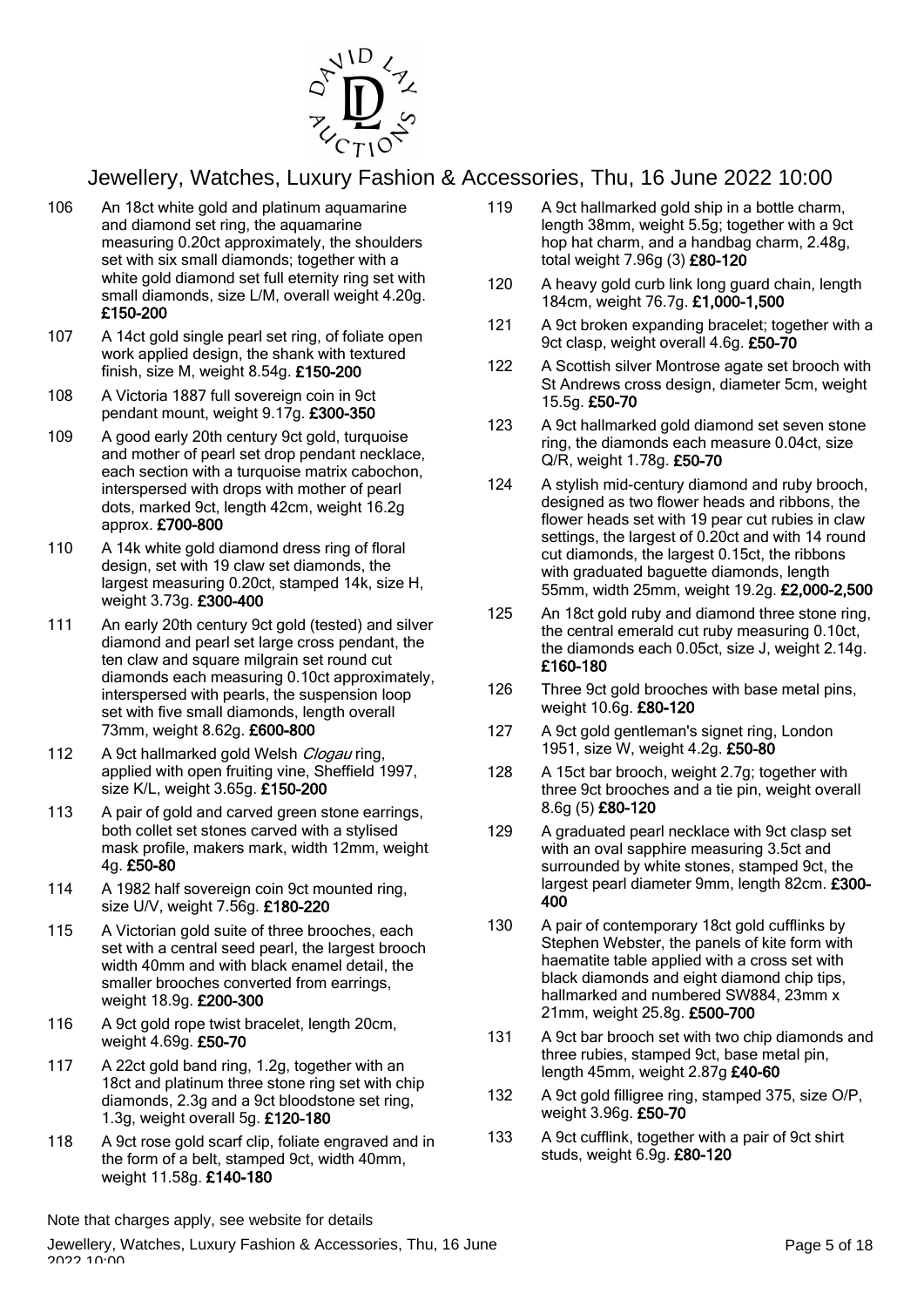

- 106 An 18ct white gold and platinum aquamarine and diamond set ring, the aquamarine measuring 0.20ct approximately, the shoulders set with six small diamonds; together with a white gold diamond set full eternity ring set with small diamonds, size L/M, overall weight 4.20g. £150-200
- 107 A 14ct gold single pearl set ring, of foliate open work applied design, the shank with textured finish, size M, weight 8.54g. £150-200
- 108 A Victoria 1887 full sovereign coin in 9ct pendant mount, weight 9.17g. £300-350
- 109 A good early 20th century 9ct gold, turquoise and mother of pearl set drop pendant necklace, each section with a turquoise matrix cabochon, interspersed with drops with mother of pearl dots, marked 9ct, length 42cm, weight 16.2g approx. £700-800
- 110 A 14k white gold diamond dress ring of floral design, set with 19 claw set diamonds, the largest measuring 0.20ct, stamped 14k, size H, weight 3.73g. £300-400
- 111 An early 20th century 9ct gold (tested) and silver diamond and pearl set large cross pendant, the ten claw and square milgrain set round cut diamonds each measuring 0.10ct approximately, interspersed with pearls, the suspension loop set with five small diamonds, length overall 73mm, weight 8.62g. £600-800
- 112 A 9ct hallmarked gold Welsh *Clogau* ring, applied with open fruiting vine, Sheffield 1997, size K/L, weight 3.65g. £150-200
- 113 A pair of gold and carved green stone earrings, both collet set stones carved with a stylised mask profile, makers mark, width 12mm, weight 4g. £50-80
- 114 A 1982 half sovereign coin 9ct mounted ring, size U/V, weight 7.56g. £180-220
- 115 A Victorian gold suite of three brooches, each set with a central seed pearl, the largest brooch width 40mm and with black enamel detail, the smaller brooches converted from earrings, weight 18.9g. £200-300
- 116 A 9ct gold rope twist bracelet, length 20cm, weight 4.69g. £50-70
- 117 A 22ct gold band ring, 1.2g, together with an 18ct and platinum three stone ring set with chip diamonds, 2.3g and a 9ct bloodstone set ring, 1.3g, weight overall 5g. £120-180
- 118 A 9ct rose gold scarf clip, foliate engraved and in the form of a belt, stamped 9ct, width 40mm, weight 11.58g. £140-180
- 119 A 9ct hallmarked gold ship in a bottle charm, length 38mm, weight 5.5g; together with a 9ct hop hat charm, and a handbag charm, 2.48g, total weight 7.96g (3) £80-120
- 120 A heavy gold curb link long guard chain, length 184cm, weight 76.7g. £1,000-1,500
- 121 A 9ct broken expanding bracelet; together with a 9ct clasp, weight overall 4.6g. £50-70
- 122 A Scottish silver Montrose agate set brooch with St Andrews cross design, diameter 5cm, weight 15.5g. £50-70
- 123 A 9ct hallmarked gold diamond set seven stone ring, the diamonds each measure 0.04ct, size Q/R, weight 1.78g. £50-70
- 124 A stylish mid-century diamond and ruby brooch, designed as two flower heads and ribbons, the flower heads set with 19 pear cut rubies in claw settings, the largest of 0.20ct and with 14 round cut diamonds, the largest 0.15ct, the ribbons with graduated baguette diamonds, length 55mm, width 25mm, weight 19.2g. £2,000-2,500
- 125 An 18ct gold ruby and diamond three stone ring, the central emerald cut ruby measuring 0.10ct, the diamonds each 0.05ct, size J, weight 2.14g. £160-180
- 126 Three 9ct gold brooches with base metal pins. weight 10.6g. £80-120
- 127 A 9ct gold gentleman's signet ring, London 1951, size W, weight 4.2g. £50-80
- 128 A 15ct bar brooch, weight 2.7g; together with three 9ct brooches and a tie pin, weight overall 8.6g (5) £80-120
- 129 A graduated pearl necklace with 9ct clasp set with an oval sapphire measuring 3.5ct and surrounded by white stones, stamped 9ct, the largest pearl diameter 9mm, length 82cm. £300- 400
- 130 A pair of contemporary 18ct gold cufflinks by Stephen Webster, the panels of kite form with haematite table applied with a cross set with black diamonds and eight diamond chip tips, hallmarked and numbered SW884, 23mm x 21mm, weight 25.8g. £500-700
- 131 A 9ct bar brooch set with two chip diamonds and three rubies, stamped 9ct, base metal pin, length 45mm, weight 2.87g £40-60
- 132 A 9ct gold filligree ring, stamped 375, size O/P, weight 3.96g. £50-70
- 133 A 9ct cufflink, together with a pair of 9ct shirt studs, weight 6.9g. £80-120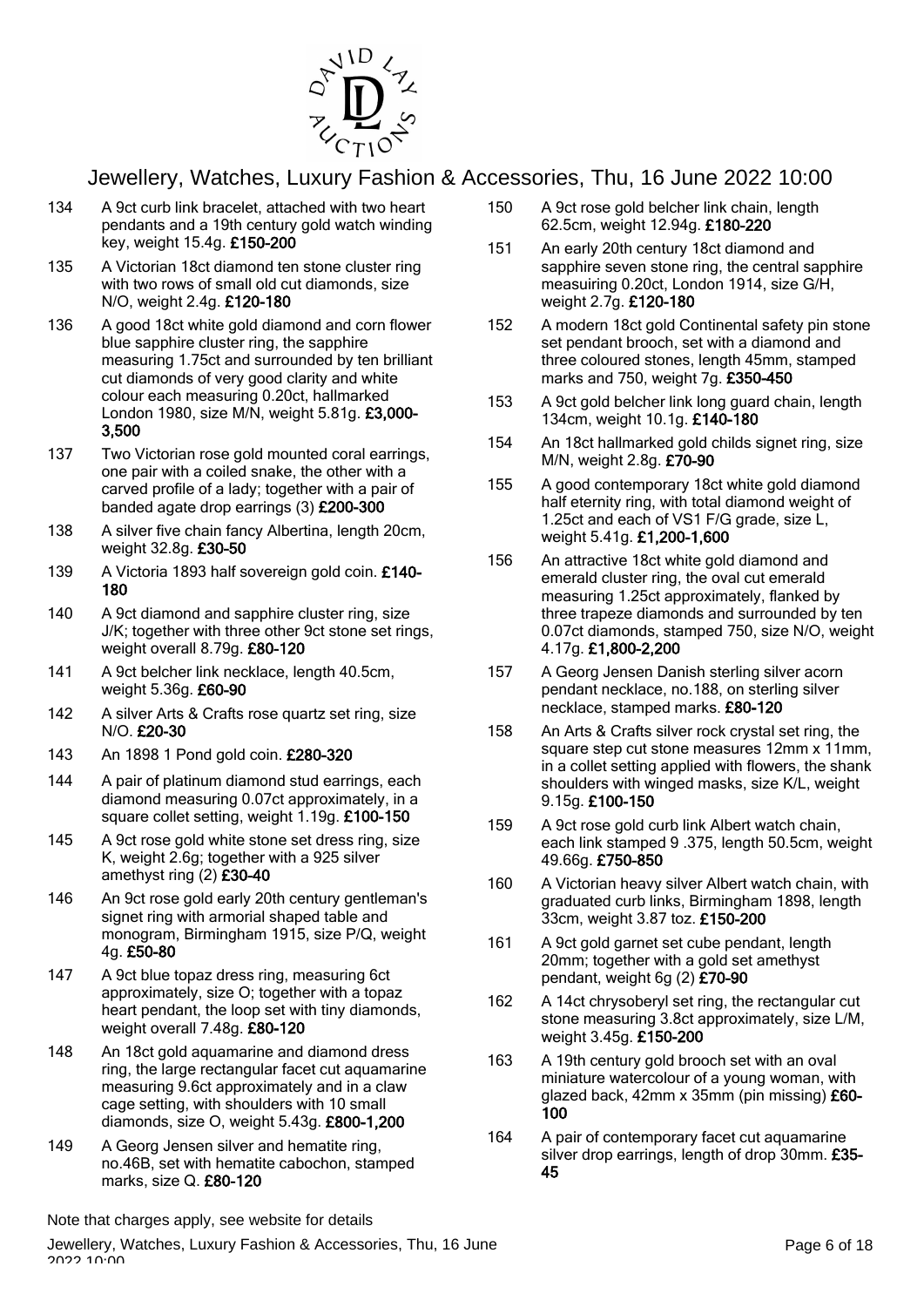

- 134 A 9ct curb link bracelet, attached with two heart pendants and a 19th century gold watch winding key, weight 15.4g. £150-200
- 135 A Victorian 18ct diamond ten stone cluster ring with two rows of small old cut diamonds, size N/O, weight 2.4g. £120-180
- 136 A good 18ct white gold diamond and corn flower blue sapphire cluster ring, the sapphire measuring 1.75ct and surrounded by ten brilliant cut diamonds of very good clarity and white colour each measuring 0.20ct, hallmarked London 1980, size M/N, weight 5.81g. £3,000- 3,500
- 137 Two Victorian rose gold mounted coral earrings, one pair with a coiled snake, the other with a carved profile of a lady; together with a pair of banded agate drop earrings (3) £200-300
- 138 A silver five chain fancy Albertina, length 20cm, weight 32.8g. £30-50
- 139 A Victoria 1893 half sovereign gold coin. £140-180
- 140 A 9ct diamond and sapphire cluster ring, size J/K; together with three other 9ct stone set rings, weight overall 8.79g. £80-120
- 141 A 9ct belcher link necklace, length 40.5cm, weight 5.36g. £60-90
- 142 A silver Arts & Crafts rose quartz set ring, size N/O. £20-30
- 143 An 1898 1 Pond gold coin. £280-320
- 144 A pair of platinum diamond stud earrings, each diamond measuring 0.07ct approximately, in a square collet setting, weight 1.19g. £100-150
- 145 A 9ct rose gold white stone set dress ring, size K, weight 2.6g; together with a 925 silver amethyst ring (2) £30-40
- 146 An 9ct rose gold early 20th century gentleman's signet ring with armorial shaped table and monogram, Birmingham 1915, size P/Q, weight 4g. £50-80
- 147 A 9ct blue topaz dress ring, measuring 6ct approximately, size O; together with a topaz heart pendant, the loop set with tiny diamonds, weight overall 7.48g. £80-120
- 148 An 18ct gold aquamarine and diamond dress ring, the large rectangular facet cut aquamarine measuring 9.6ct approximately and in a claw cage setting, with shoulders with 10 small diamonds, size O, weight 5.43g. £800-1,200
- 149 A Georg Jensen silver and hematite ring, no.46B, set with hematite cabochon, stamped marks, size Q. £80-120
- 150 A 9ct rose gold belcher link chain, length 62.5cm, weight 12.94g. £180-220
- 151 An early 20th century 18ct diamond and sapphire seven stone ring, the central sapphire measuiring 0.20ct, London 1914, size G/H, weight 2.7g. £120-180
- 152 A modern 18ct gold Continental safety pin stone set pendant brooch, set with a diamond and three coloured stones, length 45mm, stamped marks and 750, weight 7g. £350-450
- 153 A 9ct gold belcher link long guard chain, length 134cm, weight 10.1g. £140-180
- 154 An 18ct hallmarked gold childs signet ring, size M/N, weight 2.8g. £70-90
- 155 A good contemporary 18ct white gold diamond half eternity ring, with total diamond weight of 1.25ct and each of VS1 F/G grade, size L, weight 5.41g. £1,200-1,600
- 156 An attractive 18ct white gold diamond and emerald cluster ring, the oval cut emerald measuring 1.25ct approximately, flanked by three trapeze diamonds and surrounded by ten 0.07ct diamonds, stamped 750, size N/O, weight 4.17g. £1,800-2,200
- 157 A Georg Jensen Danish sterling silver acorn pendant necklace, no.188, on sterling silver necklace, stamped marks. £80-120
- 158 An Arts & Crafts silver rock crystal set ring, the square step cut stone measures 12mm x 11mm, in a collet setting applied with flowers, the shank shoulders with winged masks, size K/L, weight 9.15g. £100-150
- 159 A 9ct rose gold curb link Albert watch chain, each link stamped 9 .375, length 50.5cm, weight 49.66g. £750-850
- 160 A Victorian heavy silver Albert watch chain, with graduated curb links, Birmingham 1898, length 33cm, weight 3.87 toz. £150-200
- 161 A 9ct gold garnet set cube pendant, length 20mm; together with a gold set amethyst pendant, weight 6g (2) £70-90
- 162 A 14ct chrysoberyl set ring, the rectangular cut stone measuring 3.8ct approximately, size L/M, weight 3.45g. £150-200
- 163 A 19th century gold brooch set with an oval miniature watercolour of a young woman, with glazed back, 42mm x 35mm (pin missing) £60- 100
- 164 A pair of contemporary facet cut aquamarine silver drop earrings, length of drop 30mm. £35-45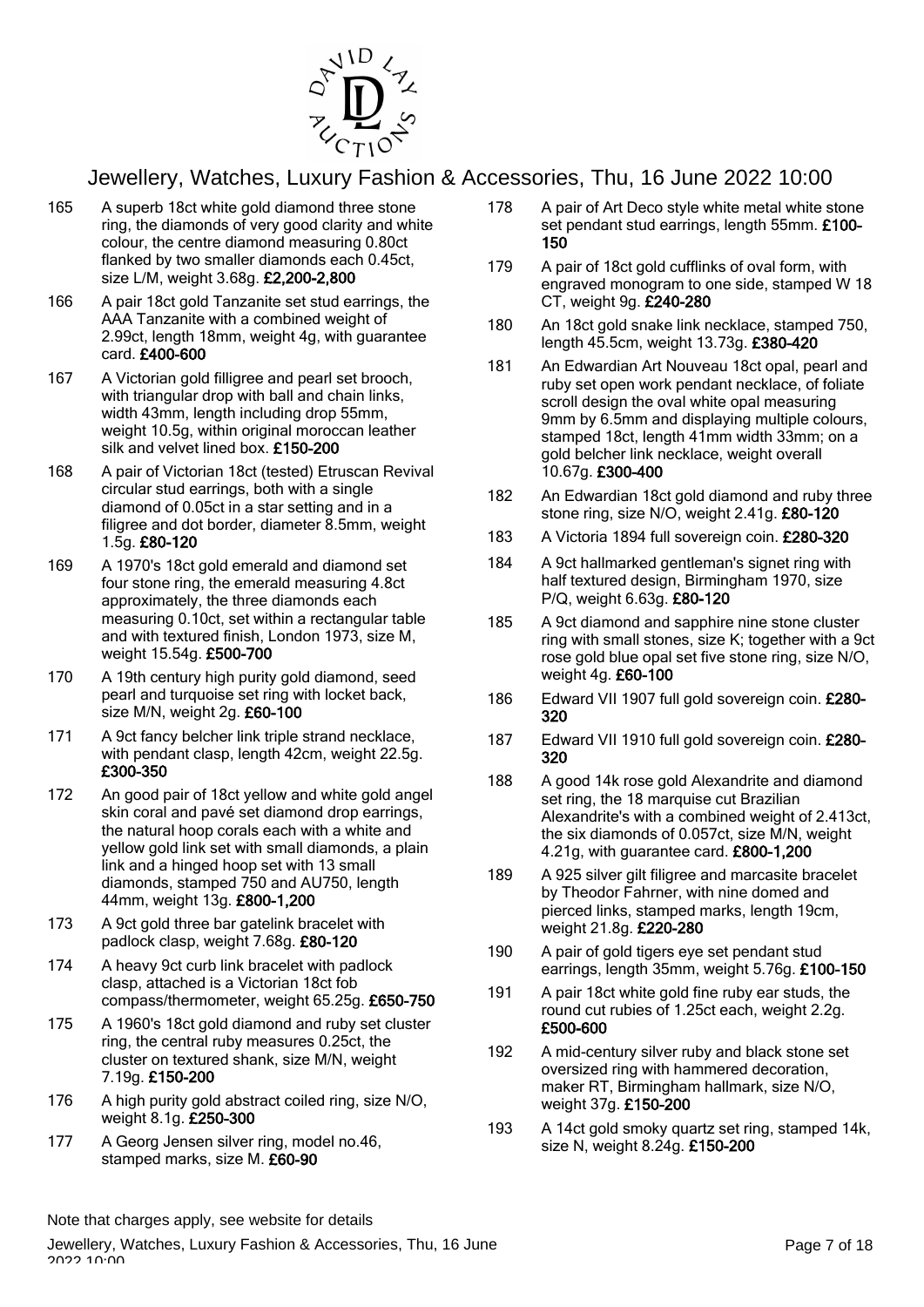

- 165 A superb 18ct white gold diamond three stone ring, the diamonds of very good clarity and white colour, the centre diamond measuring 0.80ct flanked by two smaller diamonds each 0.45ct, size L/M, weight 3.68g. £2,200-2,800
- 166 A pair 18ct gold Tanzanite set stud earrings, the AAA Tanzanite with a combined weight of 2.99ct, length 18mm, weight 4g, with guarantee card. £400-600
- 167 A Victorian gold filligree and pearl set brooch, with triangular drop with ball and chain links, width 43mm, length including drop 55mm, weight 10.5g, within original moroccan leather silk and velvet lined box. £150-200
- 168 A pair of Victorian 18ct (tested) Etruscan Revival circular stud earrings, both with a single diamond of 0.05ct in a star setting and in a filigree and dot border, diameter 8.5mm, weight 1.5g. £80-120
- 169 A 1970's 18ct gold emerald and diamond set four stone ring, the emerald measuring 4.8ct approximately, the three diamonds each measuring 0.10ct, set within a rectangular table and with textured finish, London 1973, size M, weight 15.54g. £500-700
- 170 A 19th century high purity gold diamond, seed pearl and turquoise set ring with locket back, size M/N, weight 2g. £60-100
- 171 A 9ct fancy belcher link triple strand necklace, with pendant clasp, length 42cm, weight 22.5g. £300-350
- 172 An good pair of 18ct yellow and white gold angel skin coral and pavé set diamond drop earrings, the natural hoop corals each with a white and yellow gold link set with small diamonds, a plain link and a hinged hoop set with 13 small diamonds, stamped 750 and AU750, length 44mm, weight 13g. £800-1,200
- 173 A 9ct gold three bar gatelink bracelet with padlock clasp, weight 7.68g. £80-120
- 174 A heavy 9ct curb link bracelet with padlock clasp, attached is a Victorian 18ct fob compass/thermometer, weight 65.25g. £650-750
- 175 A 1960's 18ct gold diamond and ruby set cluster ring, the central ruby measures 0.25ct, the cluster on textured shank, size M/N, weight 7.19g. £150-200
- 176 A high purity gold abstract coiled ring, size N/O, weight 8.1g. £250-300
- 177 A Georg Jensen silver ring, model no.46, stamped marks, size M. £60-90
- 178 A pair of Art Deco style white metal white stone set pendant stud earrings, length 55mm. £100-150
- 179 A pair of 18ct gold cufflinks of oval form, with engraved monogram to one side, stamped W 18 CT, weight 9g. £240-280
- 180 An 18ct gold snake link necklace, stamped 750, length 45.5cm, weight 13.73g. £380-420
- 181 An Edwardian Art Nouveau 18ct opal, pearl and ruby set open work pendant necklace, of foliate scroll design the oval white opal measuring 9mm by 6.5mm and displaying multiple colours, stamped 18ct, length 41mm width 33mm; on a gold belcher link necklace, weight overall 10.67g. £300-400
- 182 An Edwardian 18ct gold diamond and ruby three stone ring, size N/O, weight 2.41g. £80-120
- 183 A Victoria 1894 full sovereign coin. £280-320
- 184 A 9ct hallmarked gentleman's signet ring with half textured design, Birmingham 1970, size P/Q, weight 6.63g. £80-120
- 185 A 9ct diamond and sapphire nine stone cluster ring with small stones, size K; together with a 9ct rose gold blue opal set five stone ring, size N/O, weight 4g. £60-100
- 186 Edward VII 1907 full gold sovereign coin. £280- 320
- 187 Edward VII 1910 full gold sovereign coin. £280-320
- 188 A good 14k rose gold Alexandrite and diamond set ring, the 18 marquise cut Brazilian Alexandrite's with a combined weight of 2.413ct, the six diamonds of 0.057ct, size M/N, weight 4.21g, with guarantee card. £800-1,200
- 189 A 925 silver gilt filigree and marcasite bracelet by Theodor Fahrner, with nine domed and pierced links, stamped marks, length 19cm, weight 21.8g. £220-280
- 190 A pair of gold tigers eye set pendant stud earrings, length 35mm, weight 5.76g. £100-150
- 191 A pair 18ct white gold fine ruby ear studs, the round cut rubies of 1.25ct each, weight 2.2g. £500-600
- 192 A mid-century silver ruby and black stone set oversized ring with hammered decoration, maker RT, Birmingham hallmark, size N/O, weight 37g. £150-200
- 193 A 14ct gold smoky quartz set ring, stamped 14k, size N, weight 8.24g. £150-200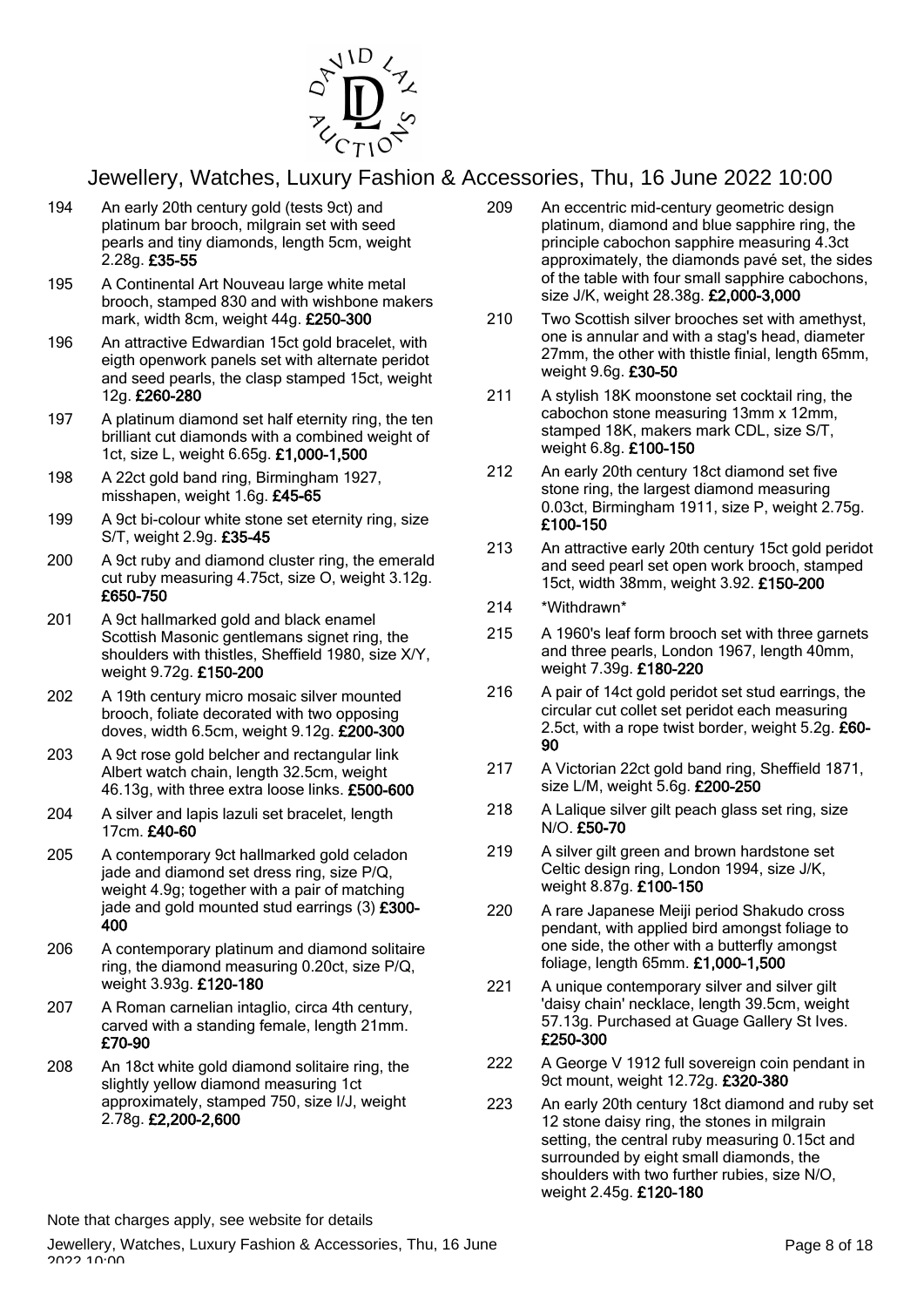

- 194 An early 20th century gold (tests 9ct) and platinum bar brooch, milgrain set with seed pearls and tiny diamonds, length 5cm, weight 2.28g. £35-55
- 195 A Continental Art Nouveau large white metal brooch, stamped 830 and with wishbone makers mark, width 8cm, weight 44g. £250-300
- 196 An attractive Edwardian 15ct gold bracelet, with eigth openwork panels set with alternate peridot and seed pearls, the clasp stamped 15ct, weight 12g. £260-280
- 197 A platinum diamond set half eternity ring, the ten brilliant cut diamonds with a combined weight of 1ct, size L, weight 6.65g. £1,000-1,500
- 198 A 22ct gold band ring, Birmingham 1927, misshapen, weight 1.6g. £45-65
- 199 A 9ct bi-colour white stone set eternity ring, size S/T, weight 2.9g. £35-45
- 200 A 9ct ruby and diamond cluster ring, the emerald cut ruby measuring 4.75ct, size O, weight 3.12g. £650-750
- 201 A 9ct hallmarked gold and black enamel Scottish Masonic gentlemans signet ring, the shoulders with thistles, Sheffield 1980, size X/Y, weight 9.72g. £150-200
- 202 A 19th century micro mosaic silver mounted brooch, foliate decorated with two opposing doves, width 6.5cm, weight 9.12g. £200-300
- 203 A 9ct rose gold belcher and rectangular link Albert watch chain, length 32.5cm, weight 46.13g, with three extra loose links. £500-600
- 204 A silver and lapis lazuli set bracelet, length 17cm. £40-60
- 205 A contemporary 9ct hallmarked gold celadon jade and diamond set dress ring, size P/Q, weight 4.9g; together with a pair of matching jade and gold mounted stud earrings (3) £300-400
- 206 A contemporary platinum and diamond solitaire ring, the diamond measuring 0.20ct, size P/Q, weight 3.93g. £120-180
- 207 A Roman carnelian intaglio, circa 4th century, carved with a standing female, length 21mm. £70-90
- 208 An 18ct white gold diamond solitaire ring, the slightly yellow diamond measuring 1ct approximately, stamped 750, size I/J, weight 2.78g. £2,200-2,600
- 209 An eccentric mid-century geometric design platinum, diamond and blue sapphire ring, the principle cabochon sapphire measuring 4.3ct approximately, the diamonds pavé set, the sides of the table with four small sapphire cabochons, size J/K, weight 28.38g. £2,000-3,000
- 210 Two Scottish silver brooches set with amethyst, one is annular and with a stag's head, diameter 27mm, the other with thistle finial, length 65mm, weight 9.6g. £30-50
- 211 A stylish 18K moonstone set cocktail ring, the cabochon stone measuring 13mm x 12mm, stamped 18K, makers mark CDL, size S/T, weight 6.8g. £100-150
- 212 An early 20th century 18ct diamond set five stone ring, the largest diamond measuring 0.03ct, Birmingham 1911, size P, weight 2.75g. £100-150
- 213 An attractive early 20th century 15ct gold peridot and seed pearl set open work brooch, stamped 15ct, width 38mm, weight 3.92. £150-200
- 214 \*Withdrawn\*
- 215 A 1960's leaf form brooch set with three garnets and three pearls, London 1967, length 40mm, weight 7.39g. £180-220
- 216 A pair of 14ct gold peridot set stud earrings, the circular cut collet set peridot each measuring 2.5ct, with a rope twist border, weight 5.2g. £60-90
- 217 A Victorian 22ct gold band ring, Sheffield 1871, size L/M, weight 5.6g. £200-250
- 218 A Lalique silver gilt peach glass set ring, size N/O. £50-70
- 219 A silver gilt green and brown hardstone set Celtic design ring, London 1994, size J/K, weight 8.87g. £100-150
- 220 A rare Japanese Meiji period Shakudo cross pendant, with applied bird amongst foliage to one side, the other with a butterfly amongst foliage, length 65mm. £1,000-1,500
- 221 A unique contemporary silver and silver gilt 'daisy chain' necklace, length 39.5cm, weight 57.13g. Purchased at Guage Gallery St Ives. £250-300
- 222 A George V 1912 full sovereign coin pendant in 9ct mount, weight 12.72g. £320-380
- 223 An early 20th century 18ct diamond and ruby set 12 stone daisy ring, the stones in milgrain setting, the central ruby measuring 0.15ct and surrounded by eight small diamonds, the shoulders with two further rubies, size N/O, weight 2.45g. £120-180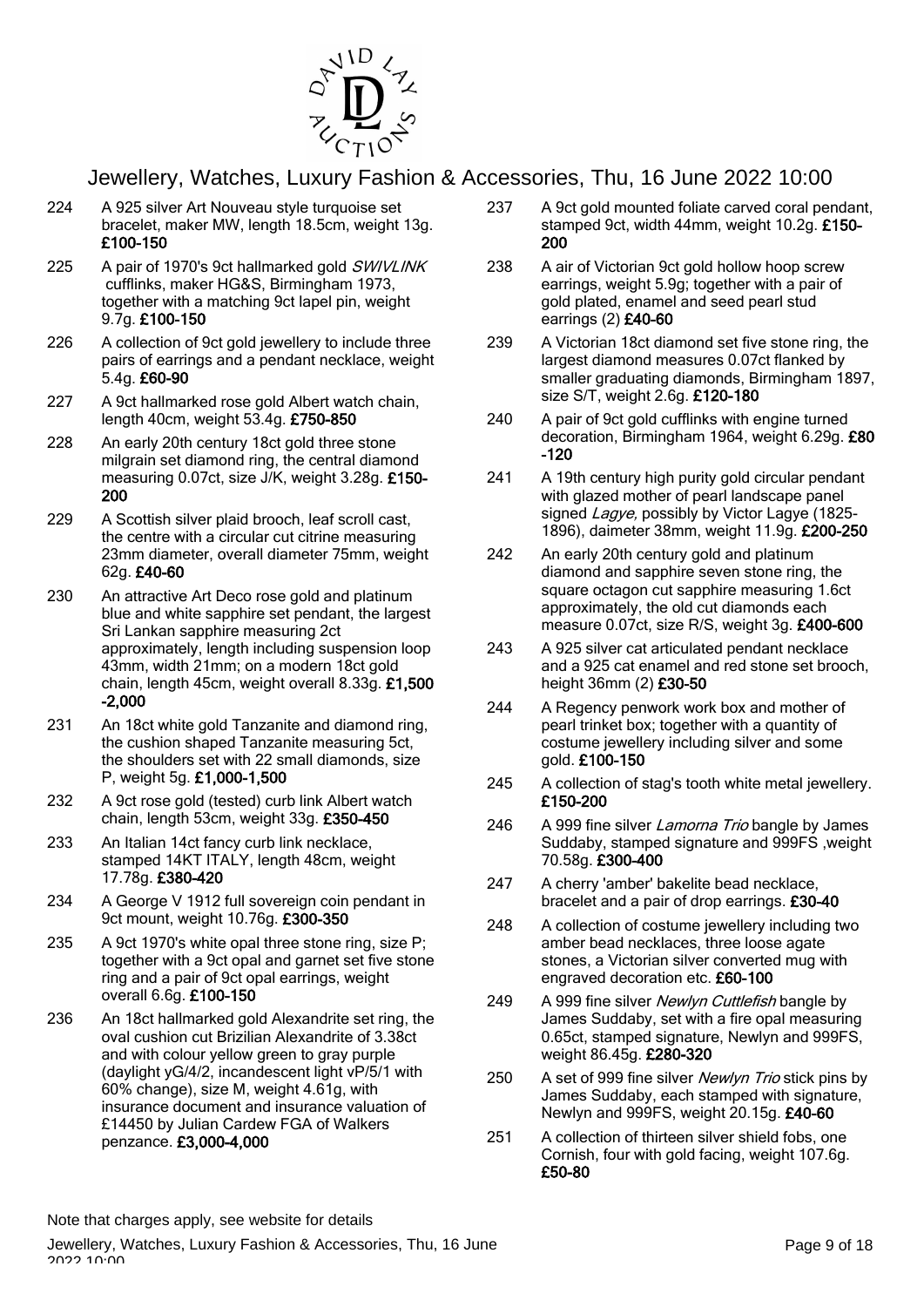

- 224 A 925 silver Art Nouveau style turquoise set bracelet, maker MW, length 18.5cm, weight 13g. £100-150
- 225 A pair of 1970's 9ct hallmarked gold SWIVLINK cufflinks, maker HG&S, Birmingham 1973, together with a matching 9ct lapel pin, weight 9.7g. £100-150
- 226 A collection of 9ct gold jewellery to include three pairs of earrings and a pendant necklace, weight 5.4g. £60-90
- 227 A 9ct hallmarked rose gold Albert watch chain, length 40cm, weight 53.4g. £750-850
- 228 An early 20th century 18ct gold three stone milgrain set diamond ring, the central diamond measuring 0.07ct, size J/K, weight 3.28g. £150- 200
- 229 A Scottish silver plaid brooch, leaf scroll cast, the centre with a circular cut citrine measuring 23mm diameter, overall diameter 75mm, weight 62g. £40-60
- 230 An attractive Art Deco rose gold and platinum blue and white sapphire set pendant, the largest Sri Lankan sapphire measuring 2ct approximately, length including suspension loop 43mm, width 21mm; on a modern 18ct gold chain, length 45cm, weight overall 8.33g. £1,500 -2,000
- 231 An 18ct white gold Tanzanite and diamond ring, the cushion shaped Tanzanite measuring 5ct, the shoulders set with 22 small diamonds, size P, weight 5g. £1,000-1,500
- 232 A 9ct rose gold (tested) curb link Albert watch chain, length 53cm, weight 33g. £350-450
- 233 An Italian 14ct fancy curb link necklace, stamped 14KT ITALY, length 48cm, weight 17.78g. £380-420
- 234 A George V 1912 full sovereign coin pendant in 9ct mount, weight 10.76g. £300-350
- 235 A 9ct 1970's white opal three stone ring, size P; together with a 9ct opal and garnet set five stone ring and a pair of 9ct opal earrings, weight overall 6.6g. £100-150
- 236 An 18ct hallmarked gold Alexandrite set ring, the oval cushion cut Brizilian Alexandrite of 3.38ct and with colour yellow green to gray purple (daylight yG/4/2, incandescent light vP/5/1 with 60% change), size M, weight 4.61g, with insurance document and insurance valuation of £14450 by Julian Cardew FGA of Walkers penzance. £3,000-4,000
- 237 A 9ct gold mounted foliate carved coral pendant, stamped 9ct, width 44mm, weight 10.2g. £150- 200
- 238 A air of Victorian 9ct gold hollow hoop screw earrings, weight 5.9g; together with a pair of gold plated, enamel and seed pearl stud earrings (2) £40-60
- 239 A Victorian 18ct diamond set five stone ring, the largest diamond measures 0.07ct flanked by smaller graduating diamonds, Birmingham 1897, size S/T, weight 2.6g. £120-180
- 240 A pair of 9ct gold cufflinks with engine turned decoration, Birmingham 1964, weight 6.29g. £80 -120
- 241 A 19th century high purity gold circular pendant with glazed mother of pearl landscape panel signed Lagye, possibly by Victor Lagye (1825-1896), daimeter 38mm, weight 11.9g. £200-250
- 242 An early 20th century gold and platinum diamond and sapphire seven stone ring, the square octagon cut sapphire measuring 1.6ct approximately, the old cut diamonds each measure 0.07ct, size R/S, weight 3g. £400-600
- 243 A 925 silver cat articulated pendant necklace and a 925 cat enamel and red stone set brooch, height 36mm (2) £30-50
- 244 A Regency penwork work box and mother of pearl trinket box; together with a quantity of costume jewellery including silver and some gold. £100-150
- 245 A collection of stag's tooth white metal jewellery. £150-200
- 246 A 999 fine silver Lamorna Trio bangle by James Suddaby, stamped signature and 999FS ,weight 70.58g. £300-400
- 247 A cherry 'amber' bakelite bead necklace, bracelet and a pair of drop earrings. £30-40
- 248 A collection of costume jewellery including two amber bead necklaces, three loose agate stones, a Victorian silver converted mug with engraved decoration etc. £60-100
- 249 A 999 fine silver Newlyn Cuttlefish bangle by James Suddaby, set with a fire opal measuring 0.65ct, stamped signature, Newlyn and 999FS, weight 86.45g. £280-320
- 250 A set of 999 fine silver Newlyn Trio stick pins by James Suddaby, each stamped with signature, Newlyn and 999FS, weight 20.15g. £40-60
- 251 A collection of thirteen silver shield fobs, one Cornish, four with gold facing, weight 107.6g. £50-80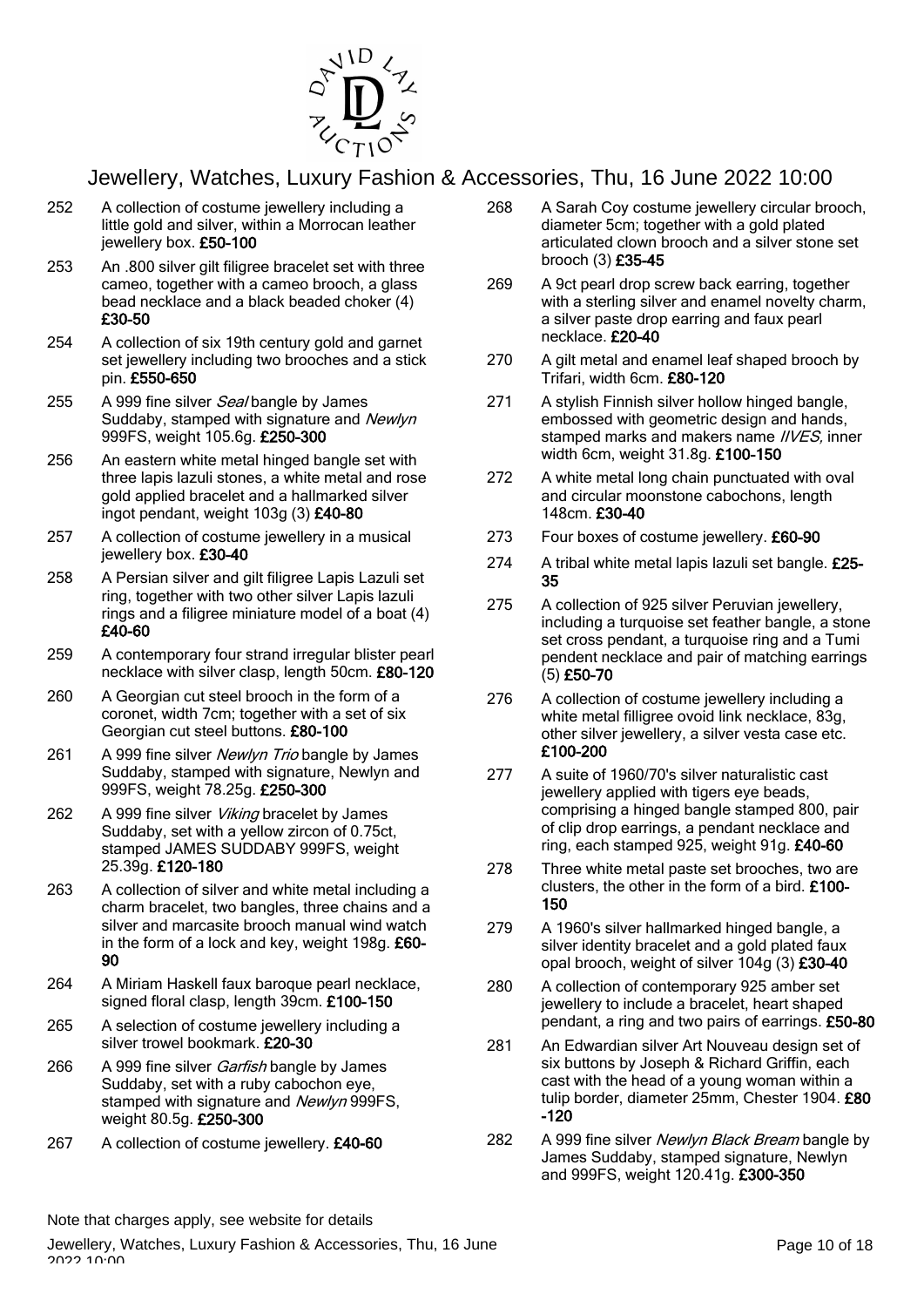

- 252 A collection of costume jewellery including a little gold and silver, within a Morrocan leather jewellery box. £50-100
- 253 An .800 silver gilt filigree bracelet set with three cameo, together with a cameo brooch, a glass bead necklace and a black beaded choker (4) £30-50
- 254 A collection of six 19th century gold and garnet set jewellery including two brooches and a stick pin. £550-650
- 255 A 999 fine silver Seal bangle by James Suddaby, stamped with signature and Newlyn 999FS, weight 105.6g. £250-300
- 256 An eastern white metal hinged bangle set with three lapis lazuli stones, a white metal and rose gold applied bracelet and a hallmarked silver ingot pendant, weight 103g (3) £40-80
- 257 A collection of costume jewellery in a musical jewellery box. £30-40
- 258 A Persian silver and gilt filigree Lapis Lazuli set ring, together with two other silver Lapis lazuli rings and a filigree miniature model of a boat (4) £40-60
- 259 A contemporary four strand irregular blister pearl necklace with silver clasp, length 50cm. £80-120
- 260 A Georgian cut steel brooch in the form of a coronet, width 7cm; together with a set of six Georgian cut steel buttons. £80-100
- 261 A 999 fine silver Newlyn Trio bangle by James Suddaby, stamped with signature, Newlyn and 999FS, weight 78.25g. £250-300
- 262 A 999 fine silver *Viking* bracelet by James Suddaby, set with a yellow zircon of 0.75ct, stamped JAMES SUDDABY 999FS, weight 25.39g. £120-180
- 263 A collection of silver and white metal including a charm bracelet, two bangles, three chains and a silver and marcasite brooch manual wind watch in the form of a lock and key, weight 198g. £60- 90
- 264 A Miriam Haskell faux baroque pearl necklace, signed floral clasp, length 39cm. £100-150
- 265 A selection of costume jewellery including a silver trowel bookmark. £20-30
- 266 A 999 fine silver *Garfish* bangle by James Suddaby, set with a ruby cabochon eye, stamped with signature and Newlyn 999FS. weight 80.5g. £250-300
- 267 A collection of costume jewellery. £40-60
- 268 A Sarah Coy costume jewellery circular brooch, diameter 5cm; together with a gold plated articulated clown brooch and a silver stone set brooch (3) £35-45
- 269 A 9ct pearl drop screw back earring, together with a sterling silver and enamel novelty charm, a silver paste drop earring and faux pearl necklace. £20-40
- 270 A gilt metal and enamel leaf shaped brooch by Trifari, width 6cm. £80-120
- 271 A stylish Finnish silver hollow hinged bangle, embossed with geometric design and hands, stamped marks and makers name *IIVES*, inner width 6cm, weight 31.8g. £100-150
- 272 A white metal long chain punctuated with oval and circular moonstone cabochons, length 148cm. £30-40
- 273 Four boxes of costume jewellery. £60-90
- 274 A tribal white metal lapis lazuli set bangle. £25-35
- 275 A collection of 925 silver Peruvian jewellery, including a turquoise set feather bangle, a stone set cross pendant, a turquoise ring and a Tumi pendent necklace and pair of matching earrings (5) £50-70
- 276 A collection of costume jewellery including a white metal filligree ovoid link necklace, 83g, other silver jewellery, a silver vesta case etc. £100-200
- 277 A suite of 1960/70's silver naturalistic cast jewellery applied with tigers eye beads, comprising a hinged bangle stamped 800, pair of clip drop earrings, a pendant necklace and ring, each stamped 925, weight 91g. £40-60
- 278 Three white metal paste set brooches, two are clusters, the other in the form of a bird. £100- 150
- 279 A 1960's silver hallmarked hinged bangle, a silver identity bracelet and a gold plated faux opal brooch, weight of silver 104g (3) £30-40
- 280 A collection of contemporary 925 amber set jewellery to include a bracelet, heart shaped pendant, a ring and two pairs of earrings. £50-80
- 281 An Edwardian silver Art Nouveau design set of six buttons by Joseph & Richard Griffin, each cast with the head of a young woman within a tulip border, diameter 25mm, Chester 1904. £80 -120
- 282 A 999 fine silver Newlyn Black Bream bangle by James Suddaby, stamped signature, Newlyn and 999FS, weight 120.41g. £300-350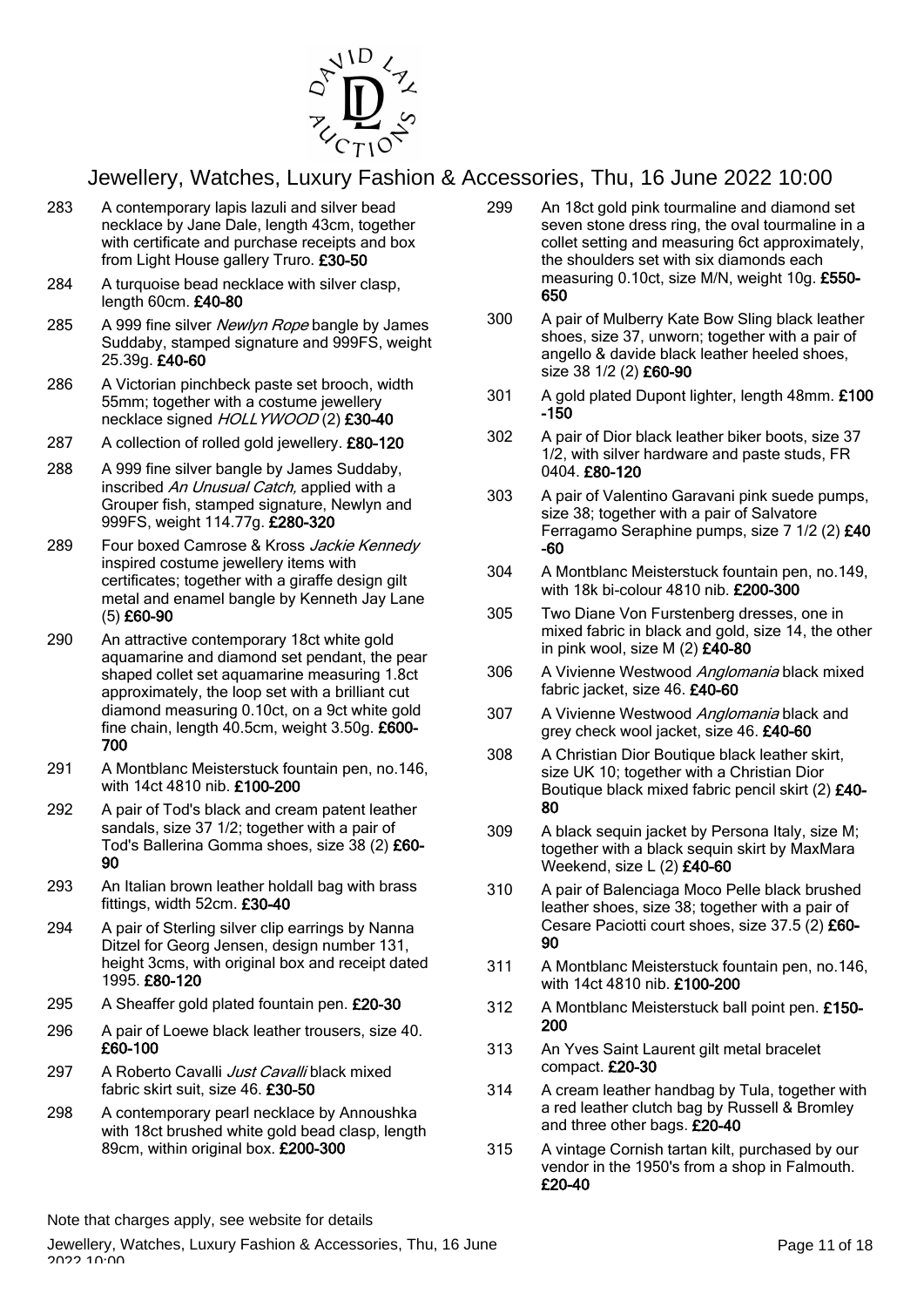

- 283 A contemporary lapis lazuli and silver bead necklace by Jane Dale, length 43cm, together with certificate and purchase receipts and box from Light House gallery Truro. £30-50
- 284 A turquoise bead necklace with silver clasp, length 60cm. £40-80
- 285 A 999 fine silver Newlyn Rope bangle by James Suddaby, stamped signature and 999FS, weight 25.39g. £40-60
- 286 A Victorian pinchbeck paste set brooch, width 55mm; together with a costume jewellery necklace signed HOLLYWOOD (2) £30-40
- 287 A collection of rolled gold jewellery. £80-120
- 288 A 999 fine silver bangle by James Suddaby, inscribed An Unusual Catch, applied with a Grouper fish, stamped signature, Newlyn and 999FS, weight 114.77g. £280-320
- 289 Four boxed Camrose & Kross Jackie Kennedy inspired costume jewellery items with certificates; together with a giraffe design gilt metal and enamel bangle by Kenneth Jay Lane (5) £60-90
- 290 An attractive contemporary 18ct white gold aquamarine and diamond set pendant, the pear shaped collet set aquamarine measuring 1.8ct approximately, the loop set with a brilliant cut diamond measuring 0.10ct, on a 9ct white gold fine chain, length 40.5cm, weight 3.50g. £600- 700
- 291 A Montblanc Meisterstuck fountain pen, no.146, with 14ct 4810 nib. £100-200
- 292 A pair of Tod's black and cream patent leather sandals, size 37 1/2; together with a pair of Tod's Ballerina Gomma shoes, size 38 (2) £60- 90
- 293 An Italian brown leather holdall bag with brass fittings, width 52cm. £30-40
- 294 A pair of Sterling silver clip earrings by Nanna Ditzel for Georg Jensen, design number 131, height 3cms, with original box and receipt dated 1995. £80-120
- 295 A Sheaffer gold plated fountain pen. £20-30
- 296 A pair of Loewe black leather trousers, size 40. £60-100
- 297 A Roberto Cavalli Just Cavalli black mixed fabric skirt suit, size 46. £30-50
- 298 A contemporary pearl necklace by Annoushka with 18ct brushed white gold bead clasp, length 89cm, within original box. £200-300
- 299 An 18ct gold pink tourmaline and diamond set seven stone dress ring, the oval tourmaline in a collet setting and measuring 6ct approximately, the shoulders set with six diamonds each measuring 0.10ct, size M/N, weight 10g. £550- 650
- 300 A pair of Mulberry Kate Bow Sling black leather shoes, size 37, unworn; together with a pair of angello & davide black leather heeled shoes, size 38 1/2 (2) £60-90
- 301 A gold plated Dupont lighter, length 48mm. £100 -150
- 302 A pair of Dior black leather biker boots, size 37 1/2, with silver hardware and paste studs, FR 0404. £80-120
- 303 A pair of Valentino Garavani pink suede pumps, size 38; together with a pair of Salvatore Ferragamo Seraphine pumps, size 7 1/2 (2) £40 -60
- 304 A Montblanc Meisterstuck fountain pen, no.149, with 18k bi-colour 4810 nib. £200-300
- 305 Two Diane Von Furstenberg dresses, one in mixed fabric in black and gold, size 14, the other in pink wool, size M  $(2)$  £40-80
- 306 A Vivienne Westwood Anglomania black mixed fabric jacket, size 46, £40-60
- 307 A Vivienne Westwood Anglomania black and grey check wool jacket, size 46. £40-60
- 308 A Christian Dior Boutique black leather skirt, size UK 10; together with a Christian Dior Boutique black mixed fabric pencil skirt (2) £40- 80
- 309 A black sequin jacket by Persona Italy, size M; together with a black sequin skirt by MaxMara Weekend, size L (2) £40-60
- 310 A pair of Balenciaga Moco Pelle black brushed leather shoes, size 38; together with a pair of Cesare Paciotti court shoes, size 37.5 (2) £60- 90
- 311 A Montblanc Meisterstuck fountain pen, no.146, with 14ct 4810 nib. £100-200
- 312 A Montblanc Meisterstuck ball point pen. £150- 200
- 313 An Yves Saint Laurent gilt metal bracelet compact. £20-30
- 314 A cream leather handbag by Tula, together with a red leather clutch bag by Russell & Bromley and three other bags. £20-40
- 315 A vintage Cornish tartan kilt, purchased by our vendor in the 1950's from a shop in Falmouth. £20-40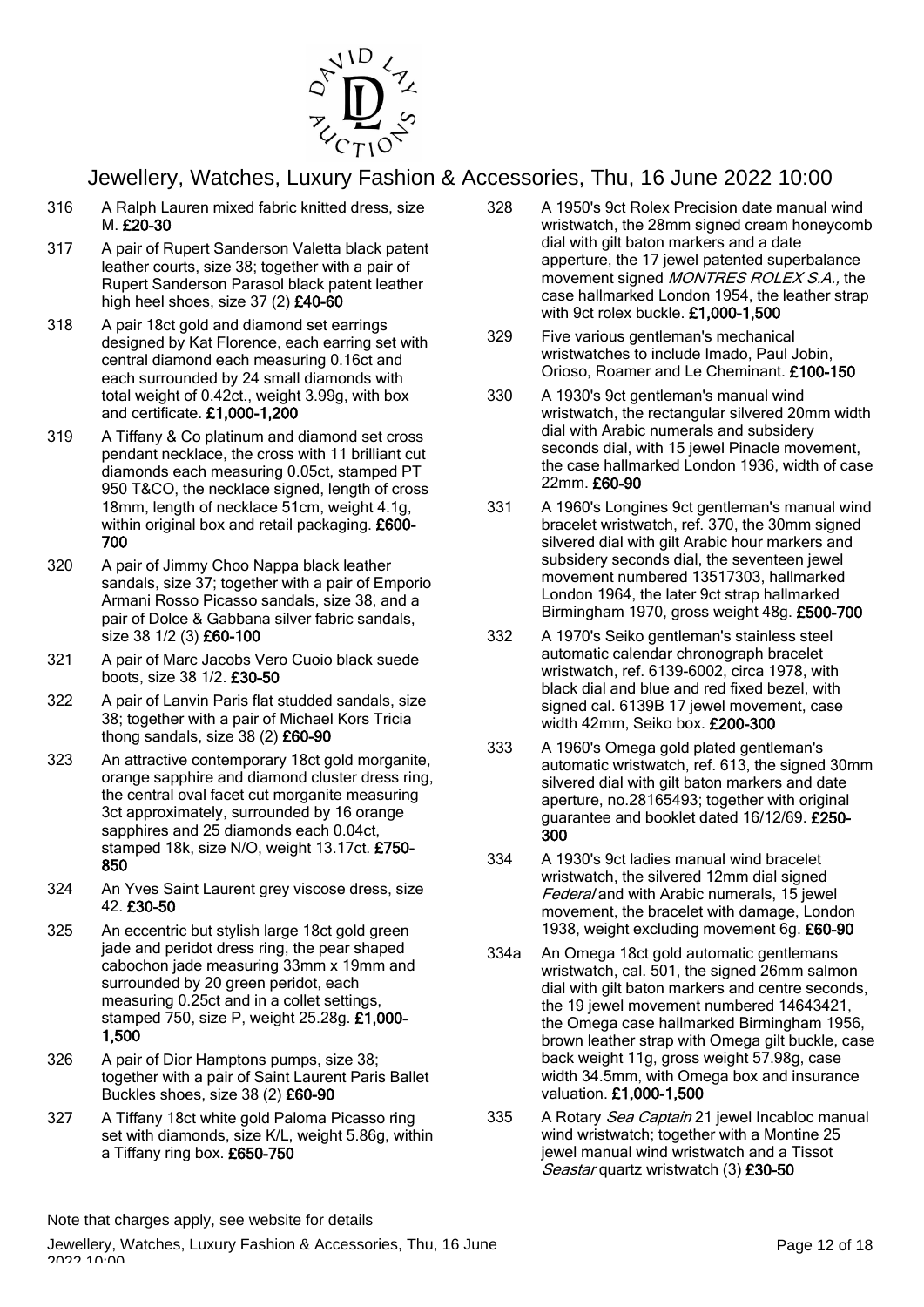

- 316 A Ralph Lauren mixed fabric knitted dress, size M. £20-30
- 317 A pair of Rupert Sanderson Valetta black patent leather courts, size 38; together with a pair of Rupert Sanderson Parasol black patent leather high heel shoes, size 37 (2) £40-60
- 318 A pair 18ct gold and diamond set earrings designed by Kat Florence, each earring set with central diamond each measuring 0.16ct and each surrounded by 24 small diamonds with total weight of 0.42ct., weight 3.99g, with box and certificate. £1,000-1,200
- 319 A Tiffany & Co platinum and diamond set cross pendant necklace, the cross with 11 brilliant cut diamonds each measuring 0.05ct, stamped PT 950 T&CO, the necklace signed, length of cross 18mm, length of necklace 51cm, weight 4.1g, within original box and retail packaging. £600-700
- 320 A pair of Jimmy Choo Nappa black leather sandals, size 37; together with a pair of Emporio Armani Rosso Picasso sandals, size 38, and a pair of Dolce & Gabbana silver fabric sandals, size 38 1/2 (3) £60-100
- 321 A pair of Marc Jacobs Vero Cuoio black suede boots, size 38 1/2. £30-50
- 322 A pair of Lanvin Paris flat studded sandals, size 38; together with a pair of Michael Kors Tricia thong sandals, size 38 (2) £60-90
- 323 An attractive contemporary 18ct gold morganite, orange sapphire and diamond cluster dress ring, the central oval facet cut morganite measuring 3ct approximately, surrounded by 16 orange sapphires and 25 diamonds each 0.04ct, stamped 18k, size N/O, weight 13.17ct. £750- 850
- 324 An Yves Saint Laurent grey viscose dress, size 42. £30-50
- 325 An eccentric but stylish large 18ct gold green jade and peridot dress ring, the pear shaped cabochon jade measuring 33mm x 19mm and surrounded by 20 green peridot, each measuring 0.25ct and in a collet settings, stamped 750, size P, weight 25.28g. £1,000- 1,500
- 326 A pair of Dior Hamptons pumps, size 38; together with a pair of Saint Laurent Paris Ballet Buckles shoes, size 38 (2) £60-90
- 327 A Tiffany 18ct white gold Paloma Picasso ring set with diamonds, size K/L, weight 5.86g, within a Tiffany ring box. £650-750
- 328 A 1950's 9ct Rolex Precision date manual wind wristwatch, the 28mm signed cream honeycomb dial with gilt baton markers and a date apperture, the 17 jewel patented superbalance movement signed MONTRES ROLEX S.A., the case hallmarked London 1954, the leather strap with 9ct rolex buckle. £1,000-1,500
- 329 Five various gentleman's mechanical wristwatches to include Imado, Paul Jobin, Orioso, Roamer and Le Cheminant. £100-150
- 330 A 1930's 9ct gentleman's manual wind wristwatch, the rectangular silvered 20mm width dial with Arabic numerals and subsidery seconds dial, with 15 jewel Pinacle movement, the case hallmarked London 1936, width of case 22mm. £60-90
- 331 A 1960's Longines 9ct gentleman's manual wind bracelet wristwatch, ref. 370, the 30mm signed silvered dial with gilt Arabic hour markers and subsidery seconds dial, the seventeen jewel movement numbered 13517303, hallmarked London 1964, the later 9ct strap hallmarked Birmingham 1970, gross weight 48g. £500-700
- 332 A 1970's Seiko gentleman's stainless steel automatic calendar chronograph bracelet wristwatch, ref. 6139-6002, circa 1978, with black dial and blue and red fixed bezel, with signed cal. 6139B 17 jewel movement, case width 42mm, Seiko box. £200-300
- 333 A 1960's Omega gold plated gentleman's automatic wristwatch, ref. 613, the signed 30mm silvered dial with gilt baton markers and date aperture, no.28165493; together with original quarantee and booklet dated 16/12/69. £250-300
- 334 A 1930's 9ct ladies manual wind bracelet wristwatch, the silvered 12mm dial signed Federal and with Arabic numerals, 15 jewel movement, the bracelet with damage, London 1938, weight excluding movement 6g. £60-90
- 334a An Omega 18ct gold automatic gentlemans wristwatch, cal. 501, the signed 26mm salmon dial with gilt baton markers and centre seconds, the 19 jewel movement numbered 14643421, the Omega case hallmarked Birmingham 1956, brown leather strap with Omega gilt buckle, case back weight 11g, gross weight 57.98g, case width 34.5mm, with Omega box and insurance valuation. £1,000-1,500
- 335 A Rotary Sea Captain 21 jewel Incabloc manual wind wristwatch; together with a Montine 25 jewel manual wind wristwatch and a Tissot Seastar quartz wristwatch (3) £30-50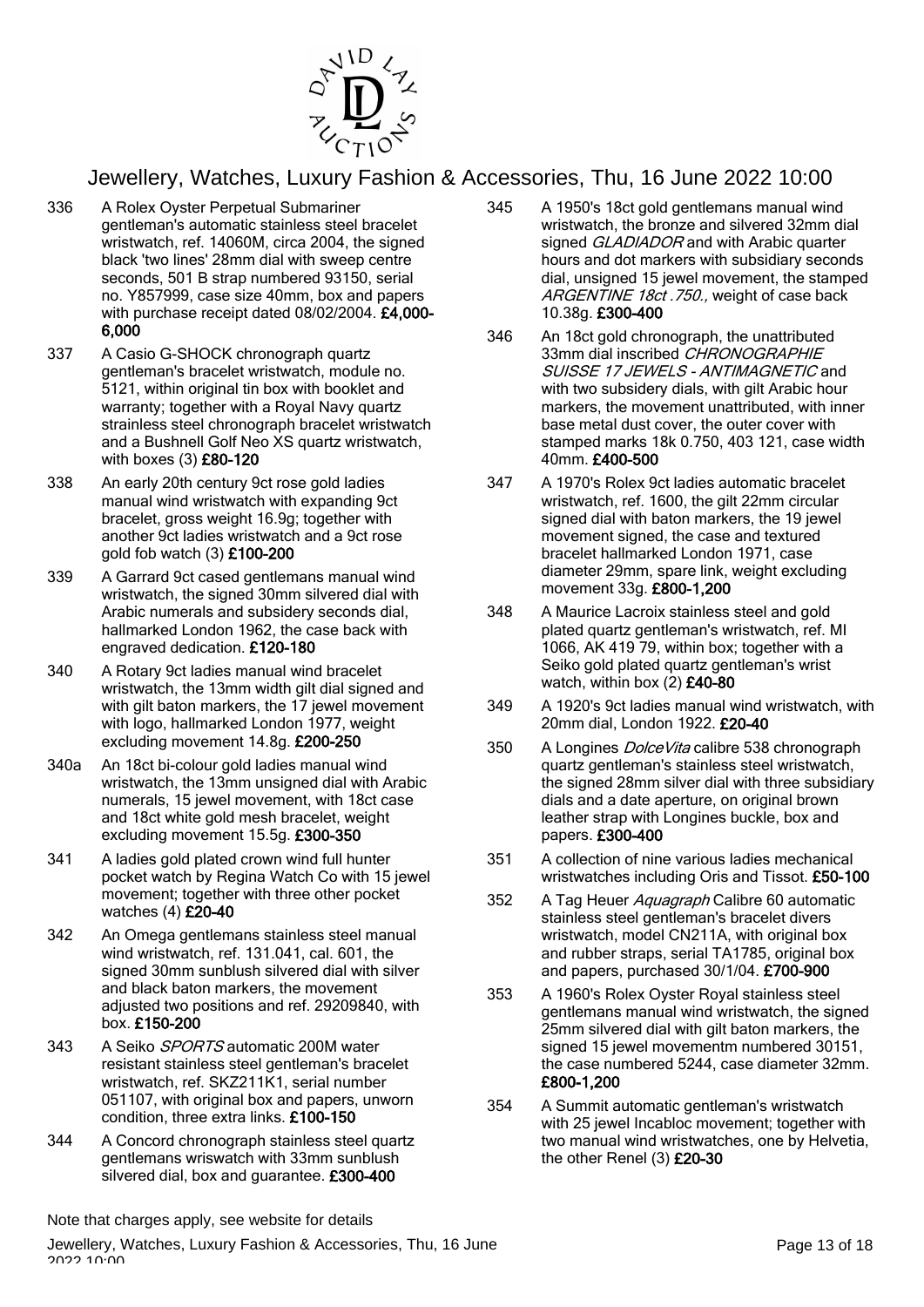

- 336 A Rolex Oyster Perpetual Submariner gentleman's automatic stainless steel bracelet wristwatch, ref. 14060M, circa 2004, the signed black 'two lines' 28mm dial with sweep centre seconds, 501 B strap numbered 93150, serial no. Y857999, case size 40mm, box and papers with purchase receipt dated 08/02/2004. £4,000- 6,000
- 337 A Casio G-SHOCK chronograph quartz gentleman's bracelet wristwatch, module no. 5121, within original tin box with booklet and warranty; together with a Royal Navy quartz strainless steel chronograph bracelet wristwatch and a Bushnell Golf Neo XS quartz wristwatch, with boxes (3) £80-120
- 338 An early 20th century 9ct rose gold ladies manual wind wristwatch with expanding 9ct bracelet, gross weight 16.9g; together with another 9ct ladies wristwatch and a 9ct rose gold fob watch (3) £100-200
- 339 A Garrard 9ct cased gentlemans manual wind wristwatch, the signed 30mm silvered dial with Arabic numerals and subsidery seconds dial, hallmarked London 1962, the case back with engraved dedication. £120-180
- 340 A Rotary 9ct ladies manual wind bracelet wristwatch, the 13mm width gilt dial signed and with gilt baton markers, the 17 jewel movement with logo, hallmarked London 1977, weight excluding movement 14.8g. £200-250
- 340a An 18ct bi-colour gold ladies manual wind wristwatch, the 13mm unsigned dial with Arabic numerals, 15 jewel movement, with 18ct case and 18ct white gold mesh bracelet, weight excluding movement 15.5g. £300-350
- 341 A ladies gold plated crown wind full hunter pocket watch by Regina Watch Co with 15 jewel movement; together with three other pocket watches (4) £20-40
- 342 An Omega gentlemans stainless steel manual wind wristwatch, ref. 131.041, cal. 601, the signed 30mm sunblush silvered dial with silver and black baton markers, the movement adjusted two positions and ref. 29209840, with box. £150-200
- 343 A Seiko SPORTS automatic 200M water resistant stainless steel gentleman's bracelet wristwatch, ref. SKZ211K1, serial number 051107, with original box and papers, unworn condition, three extra links. £100-150
- 344 A Concord chronograph stainless steel quartz gentlemans wriswatch with 33mm sunblush silvered dial, box and quarantee. £300-400
- 345 A 1950's 18ct gold gentlemans manual wind wristwatch, the bronze and silvered 32mm dial signed *GLADIADOR* and with Arabic quarter hours and dot markers with subsidiary seconds dial, unsigned 15 jewel movement, the stamped ARGENTINE 18ct. 750., weight of case back 10.38g. £300-400
- 346 An 18ct gold chronograph, the unattributed 33mm dial inscribed CHRONOGRAPHIE SUISSE 17 JEWELS - ANTIMAGNETIC and with two subsidery dials, with gilt Arabic hour markers, the movement unattributed, with inner base metal dust cover, the outer cover with stamped marks 18k 0.750, 403 121, case width 40mm. £400-500
- 347 A 1970's Rolex 9ct ladies automatic bracelet wristwatch, ref. 1600, the gilt 22mm circular signed dial with baton markers, the 19 jewel movement signed, the case and textured bracelet hallmarked London 1971, case diameter 29mm, spare link, weight excluding movement 33g. £800-1,200
- 348 A Maurice Lacroix stainless steel and gold plated quartz gentleman's wristwatch, ref. MI 1066, AK 419 79, within box; together with a Seiko gold plated quartz gentleman's wrist watch, within box (2) £40-80
- 349 A 1920's 9ct ladies manual wind wristwatch, with 20mm dial, London 1922. £20-40
- 350 A Longines *DolceVita* calibre 538 chronograph quartz gentleman's stainless steel wristwatch, the signed 28mm silver dial with three subsidiary dials and a date aperture, on original brown leather strap with Longines buckle, box and papers. £300-400
- 351 A collection of nine various ladies mechanical wristwatches including Oris and Tissot. £50-100
- 352 A Tag Heuer Aquagraph Calibre 60 automatic stainless steel gentleman's bracelet divers wristwatch, model CN211A, with original box and rubber straps, serial TA1785, original box and papers, purchased 30/1/04. £700-900
- 353 A 1960's Rolex Oyster Royal stainless steel gentlemans manual wind wristwatch, the signed 25mm silvered dial with gilt baton markers, the signed 15 jewel movementm numbered 30151, the case numbered 5244, case diameter 32mm. £800-1,200
- 354 A Summit automatic gentleman's wristwatch with 25 jewel Incabloc movement; together with two manual wind wristwatches, one by Helvetia, the other Renel (3) £20-30

Note that charges apply, see website for details

Jewellery, Watches, Luxury Fashion & Accessories, Thu, 16 June **Page 13 of 18** Page 13 of 18 2022 10:00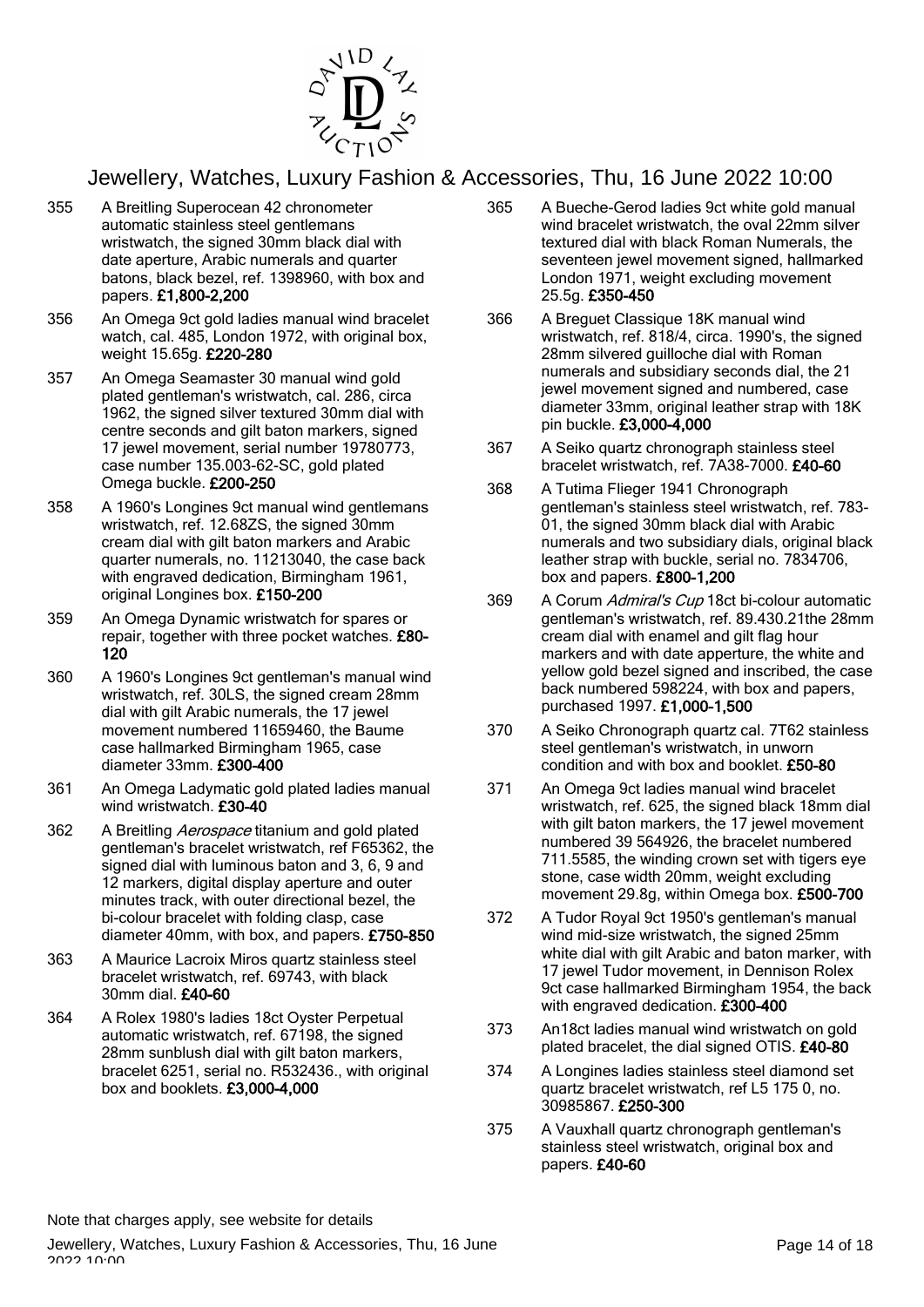

- 355 A Breitling Superocean 42 chronometer automatic stainless steel gentlemans wristwatch, the signed 30mm black dial with date aperture, Arabic numerals and quarter batons, black bezel, ref. 1398960, with box and papers. £1,800-2,200
- 356 An Omega 9ct gold ladies manual wind bracelet watch, cal. 485, London 1972, with original box, weight 15.65g. £220-280
- 357 An Omega Seamaster 30 manual wind gold plated gentleman's wristwatch, cal. 286, circa 1962, the signed silver textured 30mm dial with centre seconds and gilt baton markers, signed 17 jewel movement, serial number 19780773, case number 135.003-62-SC, gold plated Omega buckle. £200-250
- 358 A 1960's Longines 9ct manual wind gentlemans wristwatch, ref. 12.68ZS, the signed 30mm cream dial with gilt baton markers and Arabic quarter numerals, no. 11213040, the case back with engraved dedication, Birmingham 1961, original Longines box. £150-200
- 359 An Omega Dynamic wristwatch for spares or repair, together with three pocket watches. £80- 120
- 360 A 1960's Longines 9ct gentleman's manual wind wristwatch, ref. 30LS, the signed cream 28mm dial with gilt Arabic numerals, the 17 jewel movement numbered 11659460, the Baume case hallmarked Birmingham 1965, case diameter 33mm. £300-400
- 361 An Omega Ladymatic gold plated ladies manual wind wristwatch. £30-40
- 362 A Breitling Aerospace titanium and gold plated gentleman's bracelet wristwatch, ref F65362, the signed dial with luminous baton and 3, 6, 9 and 12 markers, digital display aperture and outer minutes track, with outer directional bezel, the bi-colour bracelet with folding clasp, case diameter 40mm, with box, and papers. £750-850
- 363 A Maurice Lacroix Miros quartz stainless steel bracelet wristwatch, ref. 69743, with black 30mm dial. £40-60
- 364 A Rolex 1980's ladies 18ct Oyster Perpetual automatic wristwatch, ref. 67198, the signed 28mm sunblush dial with gilt baton markers, bracelet 6251, serial no. R532436., with original box and booklets. £3,000-4,000
- 365 A Bueche-Gerod ladies 9ct white gold manual wind bracelet wristwatch, the oval 22mm silver textured dial with black Roman Numerals, the seventeen jewel movement signed, hallmarked London 1971, weight excluding movement 25.5g. £350-450
- 366 A Breguet Classique 18K manual wind wristwatch, ref. 818/4, circa. 1990's, the signed 28mm silvered guilloche dial with Roman numerals and subsidiary seconds dial, the 21 jewel movement signed and numbered, case diameter 33mm, original leather strap with 18K pin buckle. £3,000-4,000
- 367 A Seiko quartz chronograph stainless steel bracelet wristwatch, ref. 7A38-7000. £40-60
- 368 A Tutima Flieger 1941 Chronograph gentleman's stainless steel wristwatch, ref. 783- 01, the signed 30mm black dial with Arabic numerals and two subsidiary dials, original black leather strap with buckle, serial no. 7834706, box and papers. £800-1,200
- 369 A Corum Admiral's Cup 18ct bi-colour automatic gentleman's wristwatch, ref. 89.430.21the 28mm cream dial with enamel and gilt flag hour markers and with date apperture, the white and yellow gold bezel signed and inscribed, the case back numbered 598224, with box and papers, purchased 1997. £1,000-1,500
- 370 A Seiko Chronograph quartz cal. 7T62 stainless steel gentleman's wristwatch, in unworn condition and with box and booklet. £50-80
- 371 An Omega 9ct ladies manual wind bracelet wristwatch, ref. 625, the signed black 18mm dial with gilt baton markers, the 17 jewel movement numbered 39 564926, the bracelet numbered 711.5585, the winding crown set with tigers eye stone, case width 20mm, weight excluding movement 29.8g, within Omega box. £500-700
- 372 A Tudor Royal 9ct 1950's gentleman's manual wind mid-size wristwatch, the signed 25mm white dial with gilt Arabic and baton marker, with 17 jewel Tudor movement, in Dennison Rolex 9ct case hallmarked Birmingham 1954, the back with engraved dedication. £300-400
- 373 An18ct ladies manual wind wristwatch on gold plated bracelet, the dial signed OTIS. £40-80
- 374 A Longines ladies stainless steel diamond set quartz bracelet wristwatch, ref L5 175 0, no. 30985867. £250-300
- 375 A Vauxhall quartz chronograph gentleman's stainless steel wristwatch, original box and papers. £40-60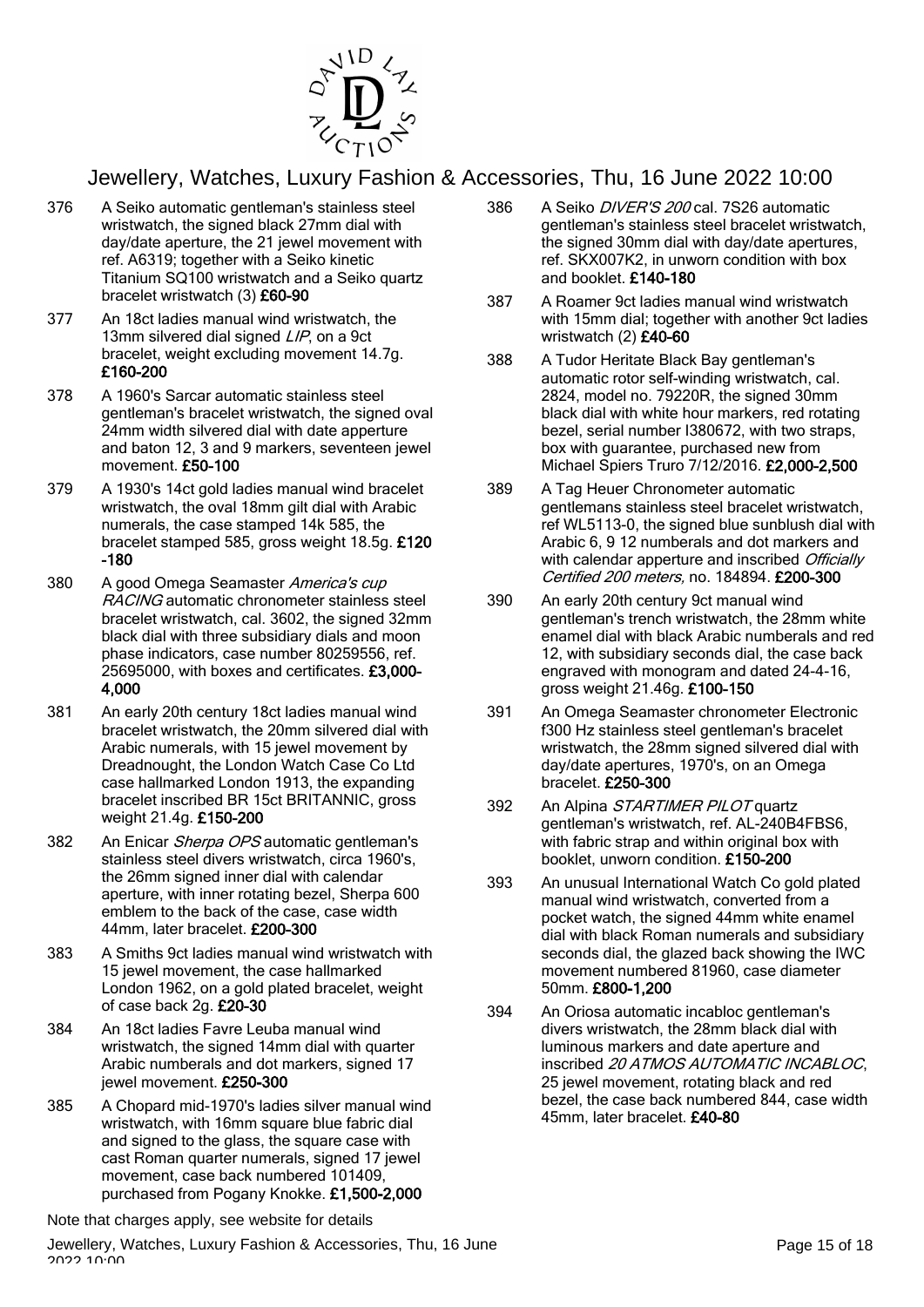

- 376 A Seiko automatic gentleman's stainless steel wristwatch, the signed black 27mm dial with day/date aperture, the 21 jewel movement with ref. A6319; together with a Seiko kinetic Titanium SQ100 wristwatch and a Seiko quartz bracelet wristwatch (3) £60-90
- 377 An 18ct ladies manual wind wristwatch, the 13mm silvered dial signed *LIP*, on a 9ct bracelet, weight excluding movement 14.7g. £160-200
- 378 A 1960's Sarcar automatic stainless steel gentleman's bracelet wristwatch, the signed oval 24mm width silvered dial with date apperture and baton 12, 3 and 9 markers, seventeen jewel movement. £50-100
- 379 A 1930's 14ct gold ladies manual wind bracelet wristwatch, the oval 18mm gilt dial with Arabic numerals, the case stamped 14k 585, the bracelet stamped 585, gross weight 18.5g. £120 -180
- 380 A good Omega Seamaster America's cup RACING automatic chronometer stainless steel bracelet wristwatch, cal. 3602, the signed 32mm black dial with three subsidiary dials and moon phase indicators, case number 80259556, ref. 25695000, with boxes and certificates. £3,000- 4,000
- 381 An early 20th century 18ct ladies manual wind bracelet wristwatch, the 20mm silvered dial with Arabic numerals, with 15 jewel movement by Dreadnought, the London Watch Case Co Ltd case hallmarked London 1913, the expanding bracelet inscribed BR 15ct BRITANNIC, gross weight 21.4g. £150-200
- 382 An Enicar Sherpa OPS automatic gentleman's stainless steel divers wristwatch, circa 1960's, the 26mm signed inner dial with calendar aperture, with inner rotating bezel, Sherpa 600 emblem to the back of the case, case width 44mm, later bracelet. £200-300
- 383 A Smiths 9ct ladies manual wind wristwatch with 15 jewel movement, the case hallmarked London 1962, on a gold plated bracelet, weight of case back 2g. £20-30
- 384 An 18ct ladies Favre Leuba manual wind wristwatch, the signed 14mm dial with quarter Arabic numberals and dot markers, signed 17 jewel movement. £250-300
- 385 A Chopard mid-1970's ladies silver manual wind wristwatch, with 16mm square blue fabric dial and signed to the glass, the square case with cast Roman quarter numerals, signed 17 jewel movement, case back numbered 101409, purchased from Pogany Knokke. £1,500-2,000

Note that charges apply, see website for details

- 386 A Seiko DIVER'S 200 cal. 7S26 automatic gentleman's stainless steel bracelet wristwatch, the signed 30mm dial with day/date apertures, ref. SKX007K2, in unworn condition with box and booklet. £140-180
- 387 A Roamer 9ct ladies manual wind wristwatch with 15mm dial; together with another 9ct ladies wristwatch (2) £40-60
- 388 A Tudor Heritate Black Bay gentleman's automatic rotor self-winding wristwatch, cal. 2824, model no. 79220R, the signed 30mm black dial with white hour markers, red rotating bezel, serial number I380672, with two straps, box with guarantee, purchased new from Michael Spiers Truro 7/12/2016. £2,000-2,500
- 389 A Tag Heuer Chronometer automatic gentlemans stainless steel bracelet wristwatch, ref WL5113-0, the signed blue sunblush dial with Arabic 6, 9 12 numberals and dot markers and with calendar apperture and inscribed Officially Certified 200 meters, no. 184894. £200-300
- 390 An early 20th century 9ct manual wind gentleman's trench wristwatch, the 28mm white enamel dial with black Arabic numberals and red 12, with subsidiary seconds dial, the case back engraved with monogram and dated 24-4-16, gross weight 21.46g. £100-150
- 391 An Omega Seamaster chronometer Electronic f300 Hz stainless steel gentleman's bracelet wristwatch, the 28mm signed silvered dial with day/date apertures, 1970's, on an Omega bracelet. £250-300
- 392 An Alpina STARTIMER PILOT quartz gentleman's wristwatch, ref. AL-240B4FBS6, with fabric strap and within original box with booklet, unworn condition. £150-200
- 393 An unusual International Watch Co gold plated manual wind wristwatch, converted from a pocket watch, the signed 44mm white enamel dial with black Roman numerals and subsidiary seconds dial, the glazed back showing the IWC movement numbered 81960, case diameter 50mm. £800-1,200
- 394 An Oriosa automatic incabloc gentleman's divers wristwatch, the 28mm black dial with luminous markers and date aperture and inscribed 20 ATMOS AUTOMATIC INCABLOC, 25 jewel movement, rotating black and red bezel, the case back numbered 844, case width 45mm, later bracelet. £40-80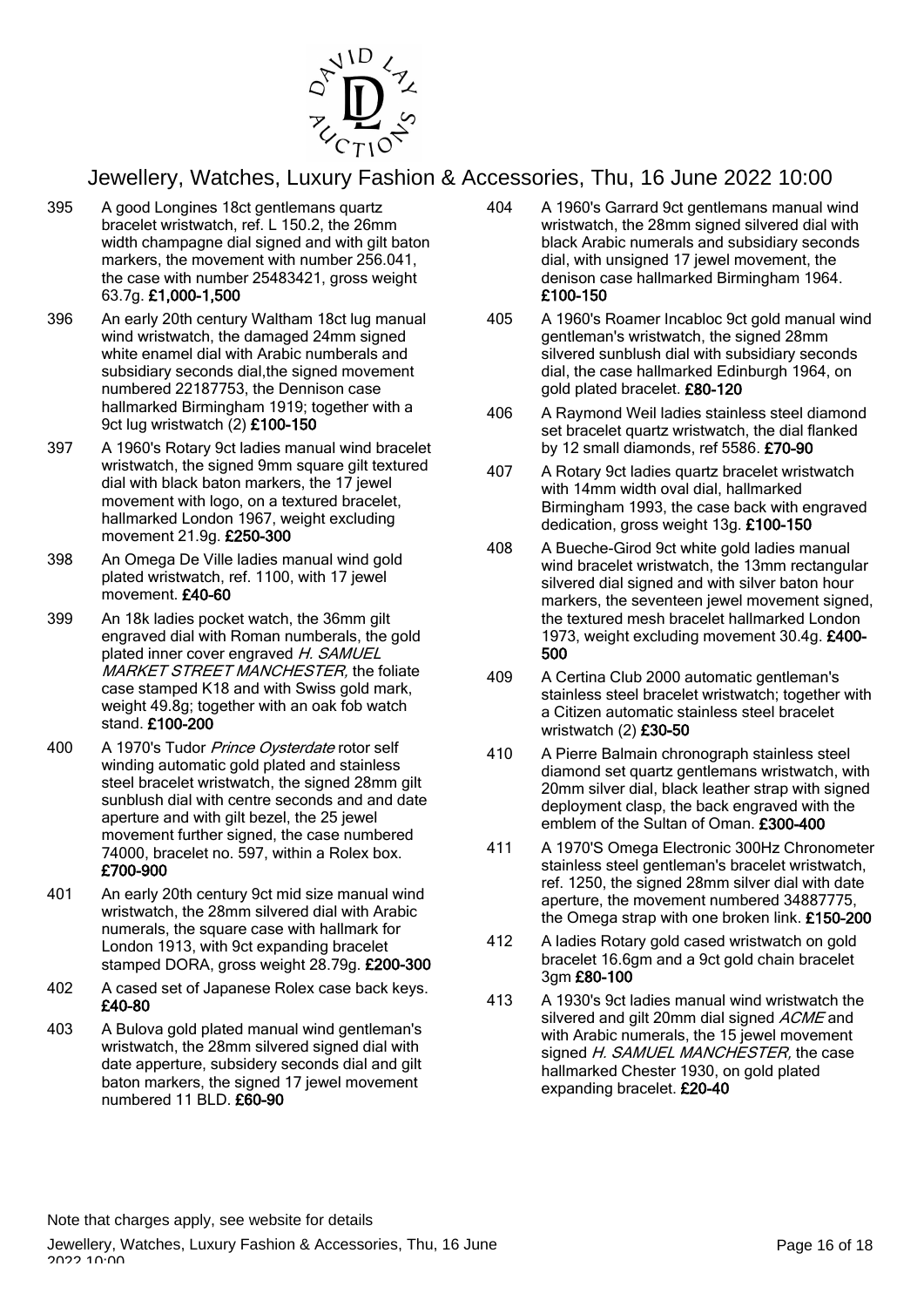

- 395 A good Longines 18ct gentlemans quartz bracelet wristwatch, ref. L 150.2, the 26mm width champagne dial signed and with gilt baton markers, the movement with number 256.041, the case with number 25483421, gross weight 63.7g. £1,000-1,500
- 396 An early 20th century Waltham 18ct lug manual wind wristwatch, the damaged 24mm signed white enamel dial with Arabic numberals and subsidiary seconds dial,the signed movement numbered 22187753, the Dennison case hallmarked Birmingham 1919; together with a 9ct lug wristwatch (2) £100-150
- 397 A 1960's Rotary 9ct ladies manual wind bracelet wristwatch, the signed 9mm square gilt textured dial with black baton markers, the 17 jewel movement with logo, on a textured bracelet, hallmarked London 1967, weight excluding movement 21.9g. £250-300
- 398 An Omega De Ville ladies manual wind gold plated wristwatch, ref. 1100, with 17 jewel movement. £40-60
- 399 An 18k ladies pocket watch, the 36mm gilt engraved dial with Roman numberals, the gold plated inner cover engraved H. SAMUEL MARKET STREET MANCHESTER, the foliate case stamped K18 and with Swiss gold mark, weight 49.8g; together with an oak fob watch stand. £100-200
- 400 A 1970's Tudor Prince Oysterdate rotor self winding automatic gold plated and stainless steel bracelet wristwatch, the signed 28mm gilt sunblush dial with centre seconds and and date aperture and with gilt bezel, the 25 jewel movement further signed, the case numbered 74000, bracelet no. 597, within a Rolex box. £700-900
- 401 An early 20th century 9ct mid size manual wind wristwatch, the 28mm silvered dial with Arabic numerals, the square case with hallmark for London 1913, with 9ct expanding bracelet stamped DORA, gross weight 28.79g. £200-300
- 402 A cased set of Japanese Rolex case back keys. £40-80
- 403 A Bulova gold plated manual wind gentleman's wristwatch, the 28mm silvered signed dial with date apperture, subsidery seconds dial and gilt baton markers, the signed 17 jewel movement numbered 11 BLD. £60-90
- 404 A 1960's Garrard 9ct gentlemans manual wind wristwatch, the 28mm signed silvered dial with black Arabic numerals and subsidiary seconds dial, with unsigned 17 jewel movement, the denison case hallmarked Birmingham 1964. £100-150
- 405 A 1960's Roamer Incabloc 9ct gold manual wind gentleman's wristwatch, the signed 28mm silvered sunblush dial with subsidiary seconds dial, the case hallmarked Edinburgh 1964, on gold plated bracelet. £80-120
- 406 A Raymond Weil ladies stainless steel diamond set bracelet quartz wristwatch, the dial flanked by 12 small diamonds, ref 5586. £70-90
- 407 A Rotary 9ct ladies quartz bracelet wristwatch with 14mm width oval dial, hallmarked Birmingham 1993, the case back with engraved dedication, gross weight 13g. £100-150
- 408 A Bueche-Girod 9ct white gold ladies manual wind bracelet wristwatch, the 13mm rectangular silvered dial signed and with silver baton hour markers, the seventeen jewel movement signed, the textured mesh bracelet hallmarked London 1973, weight excluding movement 30.4g. £400- 500
- 409 A Certina Club 2000 automatic gentleman's stainless steel bracelet wristwatch; together with a Citizen automatic stainless steel bracelet wristwatch (2) £30-50
- 410 A Pierre Balmain chronograph stainless steel diamond set quartz gentlemans wristwatch, with 20mm silver dial, black leather strap with signed deployment clasp, the back engraved with the emblem of the Sultan of Oman. £300-400
- 411 A 1970'S Omega Electronic 300Hz Chronometer stainless steel gentleman's bracelet wristwatch, ref. 1250, the signed 28mm silver dial with date aperture, the movement numbered 34887775, the Omega strap with one broken link. £150-200
- 412 A ladies Rotary gold cased wristwatch on gold bracelet 16.6gm and a 9ct gold chain bracelet 3gm £80-100
- 413 A 1930's 9ct ladies manual wind wristwatch the silvered and gilt 20mm dial signed ACME and with Arabic numerals, the 15 jewel movement signed H. SAMUEL MANCHESTER, the case hallmarked Chester 1930, on gold plated expanding bracelet. £20-40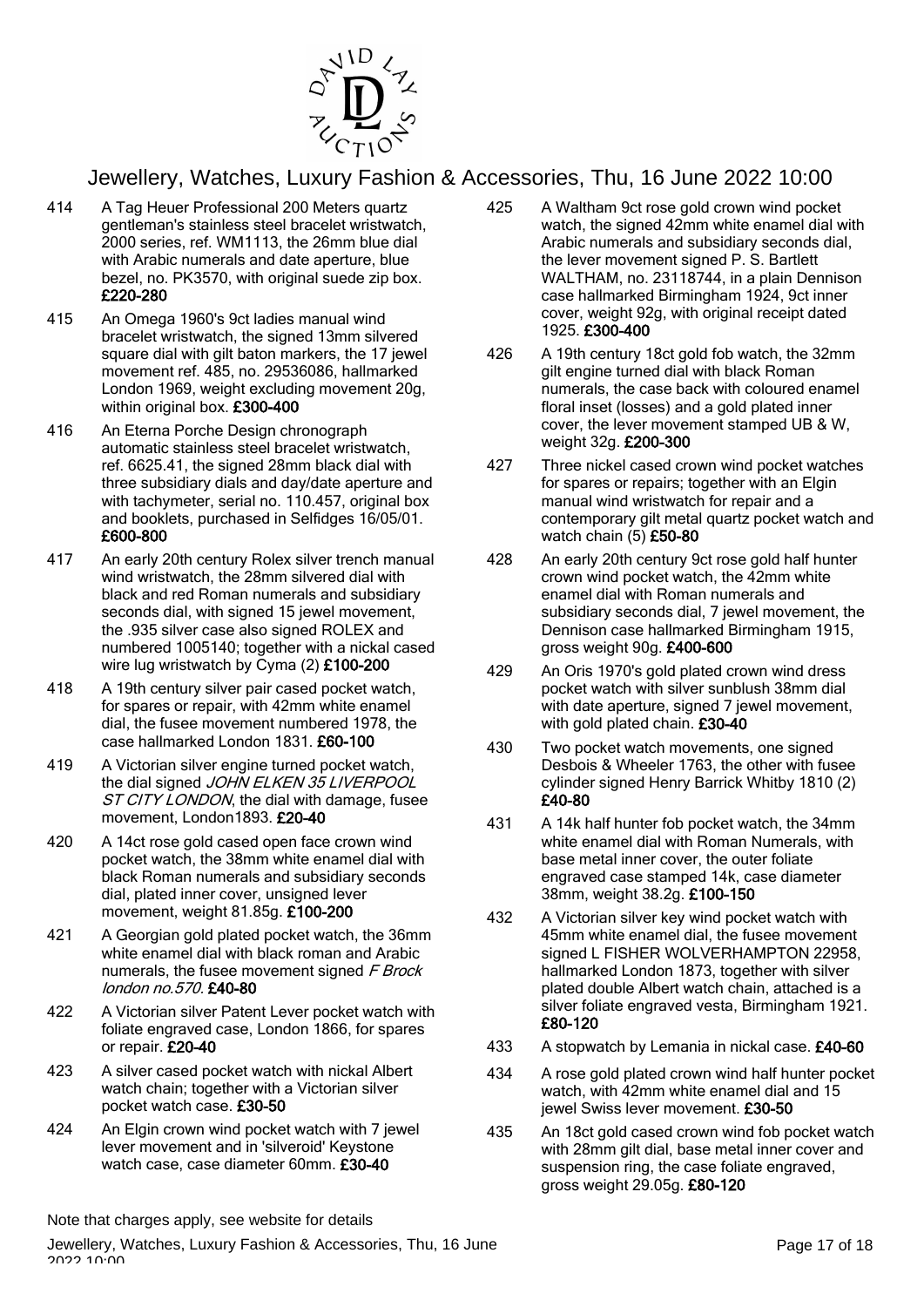

- 414 A Tag Heuer Professional 200 Meters quartz gentleman's stainless steel bracelet wristwatch, 2000 series, ref. WM1113, the 26mm blue dial with Arabic numerals and date aperture, blue bezel, no. PK3570, with original suede zip box. £220-280
- 415 An Omega 1960's 9ct ladies manual wind bracelet wristwatch, the signed 13mm silvered square dial with gilt baton markers, the 17 jewel movement ref. 485, no. 29536086, hallmarked London 1969, weight excluding movement 20g, within original box. £300-400
- 416 An Eterna Porche Design chronograph automatic stainless steel bracelet wristwatch, ref. 6625.41, the signed 28mm black dial with three subsidiary dials and day/date aperture and with tachymeter, serial no. 110.457, original box and booklets, purchased in Selfidges 16/05/01. £600-800
- 417 An early 20th century Rolex silver trench manual wind wristwatch, the 28mm silvered dial with black and red Roman numerals and subsidiary seconds dial, with signed 15 jewel movement, the .935 silver case also signed ROLEX and numbered 1005140; together with a nickal cased wire lug wristwatch by Cyma (2) £100-200
- 418 A 19th century silver pair cased pocket watch, for spares or repair, with 42mm white enamel dial, the fusee movement numbered 1978, the case hallmarked London 1831. £60-100
- 419 A Victorian silver engine turned pocket watch, the dial signed JOHN ELKEN 35 LIVERPOOL ST CITY LONDON, the dial with damage, fusee movement, London1893. £20-40
- 420 A 14ct rose gold cased open face crown wind pocket watch, the 38mm white enamel dial with black Roman numerals and subsidiary seconds dial, plated inner cover, unsigned lever movement, weight 81.85g. £100-200
- 421 A Georgian gold plated pocket watch, the 36mm white enamel dial with black roman and Arabic numerals, the fusee movement signed F Brock london no.570. £40-80
- 422 A Victorian silver Patent Lever pocket watch with foliate engraved case, London 1866, for spares or repair. £20-40
- 423 A silver cased pocket watch with nickal Albert watch chain; together with a Victorian silver pocket watch case. £30-50
- 424 An Elgin crown wind pocket watch with 7 jewel lever movement and in 'silveroid' Keystone watch case, case diameter 60mm. £30-40
- 425 A Waltham 9ct rose gold crown wind pocket watch, the signed 42mm white enamel dial with Arabic numerals and subsidiary seconds dial, the lever movement signed P. S. Bartlett WALTHAM, no. 23118744, in a plain Dennison case hallmarked Birmingham 1924, 9ct inner cover, weight 92g, with original receipt dated 1925. £300-400
- 426 A 19th century 18ct gold fob watch, the 32mm gilt engine turned dial with black Roman numerals, the case back with coloured enamel floral inset (losses) and a gold plated inner cover, the lever movement stamped UB & W, weight 32g. £200-300
- 427 Three nickel cased crown wind pocket watches for spares or repairs; together with an Elgin manual wind wristwatch for repair and a contemporary gilt metal quartz pocket watch and watch chain (5) £50-80
- 428 An early 20th century 9ct rose gold half hunter crown wind pocket watch, the 42mm white enamel dial with Roman numerals and subsidiary seconds dial, 7 jewel movement, the Dennison case hallmarked Birmingham 1915, gross weight 90g. £400-600
- 429 An Oris 1970's gold plated crown wind dress pocket watch with silver sunblush 38mm dial with date aperture, signed 7 jewel movement, with gold plated chain. £30-40
- 430 Two pocket watch movements, one signed Desbois & Wheeler 1763, the other with fusee cylinder signed Henry Barrick Whitby 1810 (2) £40-80
- 431 A 14k half hunter fob pocket watch, the 34mm white enamel dial with Roman Numerals, with base metal inner cover, the outer foliate engraved case stamped 14k, case diameter 38mm, weight 38.2g. £100-150
- 432 A Victorian silver key wind pocket watch with 45mm white enamel dial, the fusee movement signed L FISHER WOLVERHAMPTON 22958, hallmarked London 1873, together with silver plated double Albert watch chain, attached is a silver foliate engraved vesta, Birmingham 1921. £80-120
- 433 A stopwatch by Lemania in nickal case. £40-60
- 434 A rose gold plated crown wind half hunter pocket watch, with 42mm white enamel dial and 15 jewel Swiss lever movement. £30-50
- 435 An 18ct gold cased crown wind fob pocket watch with 28mm gilt dial, base metal inner cover and suspension ring, the case foliate engraved, gross weight 29.05g. £80-120